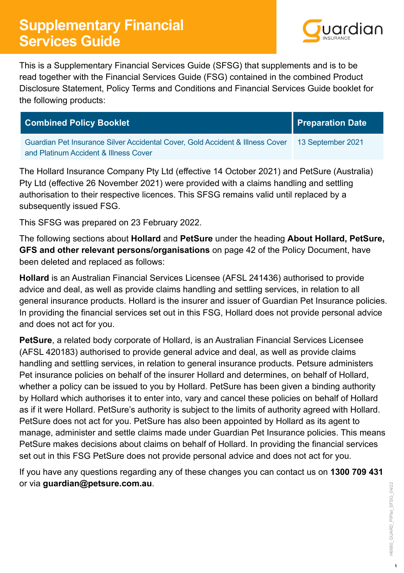# **Supplementary Financial Services Guide**



**Preparation Date** 

This is a Supplementary Financial Services Guide (SFSG) that supplements and is to be read together with the Financial Services Guide (FSG) contained in the combined Product Disclosure Statement, Policy Terms and Conditions and Financial Services Guide booklet for the following products:

Guardian Pet Insurance Silver Accidental Cover, Gold Accident & Illness Cover and Platinum Accident & Illness Cover 13 September 2021

The Hollard Insurance Company Pty Ltd (effective 14 October 2021) and PetSure (Australia) Pty Ltd (effective 26 November 2021) were provided with a claims handling and settling authorisation to their respective licences. This SFSG remains valid until replaced by a subsequently issued FSG.

This SFSG was prepared on 23 February 2022.

The following sections about **Hollard** and **PetSure** under the heading **About Hollard, PetSure, GFS and other relevant persons/organisations** on page 42 of the Policy Document, have been deleted and replaced as follows:

**Hollard** is an Australian Financial Services Licensee (AFSL 241436) authorised to provide advice and deal, as well as provide claims handling and settling services, in relation to all general insurance products. Hollard is the insurer and issuer of Guardian Pet Insurance policies. In providing the financial services set out in this FSG, Hollard does not provide personal advice and does not act for you.

**PetSure**, a related body corporate of Hollard, is an Australian Financial Services Licensee (AFSL 420183) authorised to provide general advice and deal, as well as provide claims handling and settling services, in relation to general insurance products. Petsure administers Pet insurance policies on behalf of the insurer Hollard and determines, on behalf of Hollard, whether a policy can be issued to you by Hollard. PetSure has been given a binding authority by Hollard which authorises it to enter into, vary and cancel these policies on behalf of Hollard as if it were Hollard. PetSure's authority is subject to the limits of authority agreed with Hollard. PetSure does not act for you. PetSure has also been appointed by Hollard as its agent to manage, administer and settle claims made under Guardian Pet Insurance policies. This means PetSure makes decisions about claims on behalf of Hollard. In providing the financial services set out in this FSG PetSure does not provide personal advice and does not act for you.

If you have any questions regarding any of these changes you can contact us on **1300 709 431** or via **guardian@petsure.com.au**.

**1**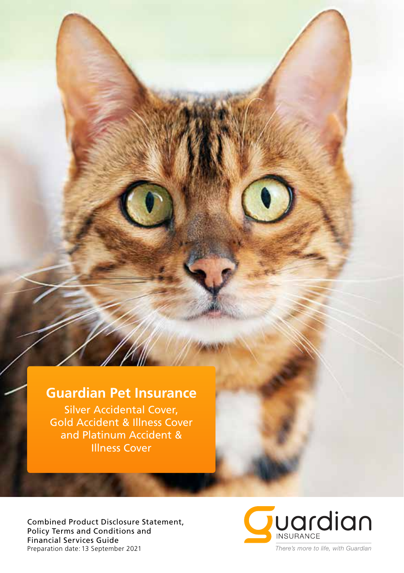# **Guardian Pet Insurance**

Silver Accidental Cover, Gold Accident & Illness Cover and Platinum Accident & Illness Cover

Combined Product Disclosure Statement, Policy Terms and Conditions and Financial Services Guide Preparation date: 13 September 2021



There's more to life, with Guardian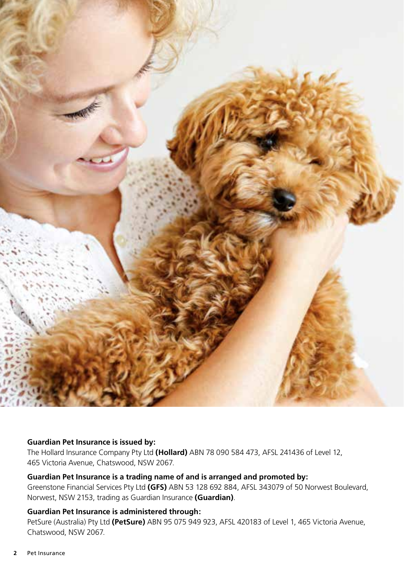

#### **Guardian Pet Insurance is issued by:**

The Hollard Insurance Company Pty Ltd **(Hollard)** ABN 78 090 584 473, AFSL 241436 of Level 12, 465 Victoria Avenue, Chatswood, NSW 2067.

#### **Guardian Pet Insurance is a trading name of and is arranged and promoted by:**

Greenstone Financial Services Pty Ltd **(GFS)** ABN 53 128 692 884, AFSL 343079 of 50 Norwest Boulevard, Norwest, NSW 2153, trading as Guardian Insurance **(Guardian)**.

#### **Guardian Pet Insurance is administered through:**

PetSure (Australia) Pty Ltd **(PetSure)** ABN 95 075 949 923, AFSL 420183 of Level 1, 465 Victoria Avenue, Chatswood, NSW 2067.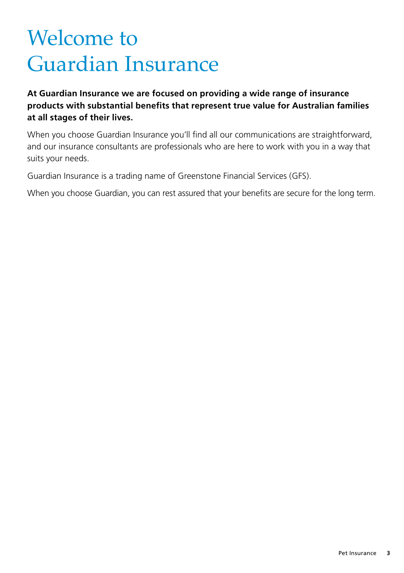# Welcome to Guardian Insurance

**At Guardian Insurance we are focused on providing a wide range of insurance products with substantial benefits that represent true value for Australian families at all stages of their lives.**

When you choose Guardian Insurance you'll find all our communications are straightforward, and our insurance consultants are professionals who are here to work with you in a way that suits your needs.

Guardian Insurance is a trading name of Greenstone Financial Services (GFS).

When you choose Guardian, you can rest assured that your benefits are secure for the long term.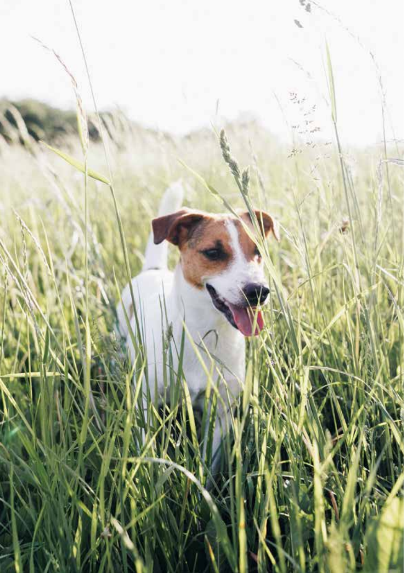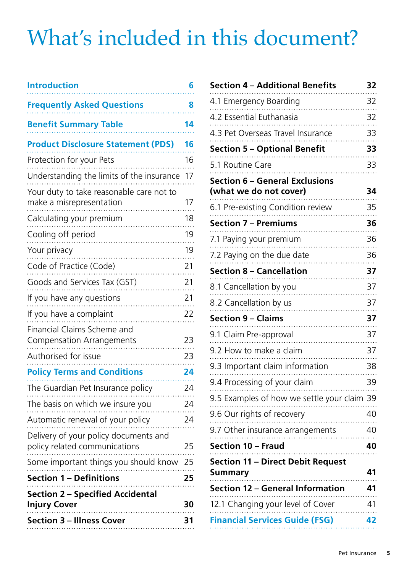# What's included in this document?

| Introduction                                                           | 6  |
|------------------------------------------------------------------------|----|
| <b>Frequently Asked Questions</b>                                      | 8  |
| <b>Benefit Summary Table</b>                                           | 14 |
| <b>Product Disclosure Statement (PDS)</b>                              | 16 |
| Protection for your Pets                                               | 16 |
| Understanding the limits of the insurance                              | 17 |
| Your duty to take reasonable care not to<br>make a misrepresentation   | 17 |
| Calculating your premium                                               | 18 |
| Cooling off period                                                     | 19 |
| Your privacy                                                           | 19 |
| Code of Practice (Code)                                                | 21 |
| Goods and Services Tax (GST)                                           | 21 |
| If you have any questions                                              | 21 |
| If you have a complaint                                                | 22 |
| Financial Claims Scheme and<br>Compensation Arrangements               | 23 |
| Authorised for issue                                                   | 23 |
| <b>Policy Terms and Conditions</b>                                     | 24 |
| The Guardian Pet Insurance policy                                      | 24 |
| The basis on which we insure you                                       | 24 |
| Automatic renewal of your policy                                       | 24 |
| Delivery of your policy documents and<br>policy related communications | 25 |
| Some important things you should know                                  | 25 |
| Section 1 – Definitions                                                | 25 |
| Section 2 – Specified Accidental                                       |    |
| <b>Injury Cover</b>                                                    | 30 |
| Section 3 – Illness Cover<br>.                                         | 31 |

| Section 4 – Additional Benefits                               | 32 |
|---------------------------------------------------------------|----|
| 4.1 Emergency Boarding                                        | 32 |
| 4.2 Essential Euthanasia                                      | 32 |
| 4.3 Pet Overseas Travel Insura                                | 33 |
| <b>Section 5 - Optional Benefit</b>                           | 33 |
| 5.1 Routine Care                                              | 33 |
| General Exclusions -<br>Section 6 -<br>(what we do not cover) | 34 |
| 6.1 Pre-existing Condition review                             | 35 |
| Section 7 – Premiums                                          | 36 |
| 7.1 Paying your premium                                       | 36 |
| 7.2 Paying on the due date                                    | 36 |
| <b>Section 8 – Cancellation</b>                               | 37 |
| 8.1 Cancellation by you                                       | 37 |
| 8.2 Cancellation by us                                        | 37 |
| <b>Section 9 – Claims</b>                                     | 37 |
| 9.1 Claim Pre-approval                                        | 37 |
| 9.2 How to make a claim                                       | 37 |
| 9.3 Important claim information                               | 38 |
| 9.4 Processing of your claim                                  | 39 |
| 9.5 Examples of how we settle your claim                      | 39 |
| 9.6 Our rights of recovery                                    | 40 |
| 9.7 Other insurance arrangements                              | 40 |
| Section 10 – Fraud                                            | 40 |
| <b>Section 11 - Direct Debit Request</b>                      |    |
| Summary                                                       | 41 |
| Section 12 – General Information                              | 41 |
| Changing your level of Cover                                  | 41 |
| <b>Financial Services Guide (FSG)</b>                         | 42 |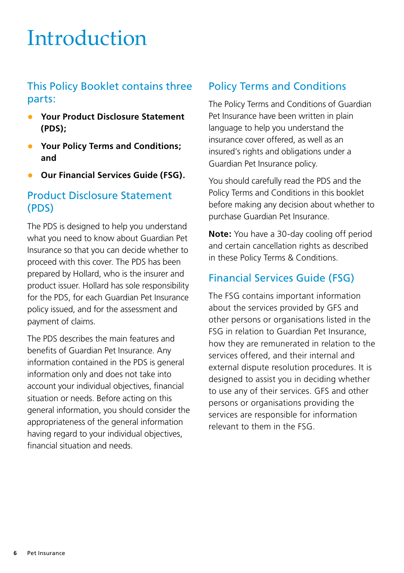# Introduction

# This Policy Booklet contains three parts:

- **Your Product Disclosure Statement (PDS);**
- **Your Policy Terms and Conditions; and**
- **Our Financial Services Guide (FSG).**

## Product Disclosure Statement (PDS)

The PDS is designed to help you understand what you need to know about Guardian Pet Insurance so that you can decide whether to proceed with this cover. The PDS has been prepared by Hollard, who is the insurer and product issuer. Hollard has sole responsibility for the PDS, for each Guardian Pet Insurance policy issued, and for the assessment and payment of claims.

The PDS describes the main features and benefits of Guardian Pet Insurance. Any information contained in the PDS is general information only and does not take into account your individual objectives, financial situation or needs. Before acting on this general information, you should consider the appropriateness of the general information having regard to your individual objectives, financial situation and needs.

# Policy Terms and Conditions

The Policy Terms and Conditions of Guardian Pet Insurance have been written in plain language to help you understand the insurance cover offered, as well as an insured's rights and obligations under a Guardian Pet Insurance policy.

You should carefully read the PDS and the Policy Terms and Conditions in this booklet before making any decision about whether to purchase Guardian Pet Insurance.

**Note:** You have a 30-day cooling off period and certain cancellation rights as described in these Policy Terms & Conditions.

# Financial Services Guide (FSG)

The FSG contains important information about the services provided by GFS and other persons or organisations listed in the FSG in relation to Guardian Pet Insurance, how they are remunerated in relation to the services offered, and their internal and external dispute resolution procedures. It is designed to assist you in deciding whether to use any of their services. GFS and other persons or organisations providing the services are responsible for information relevant to them in the FSG.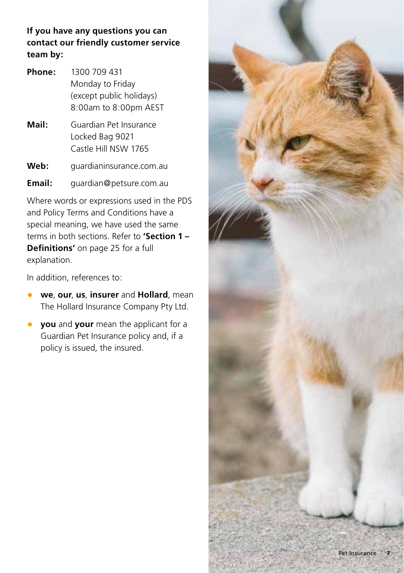#### **If you have any questions you can contact our friendly customer service team by:**

- **Phone:** 1300 709 431 Monday to Friday (except public holidays) 8:00am to 8:00pm AEST
- **Mail:** Guardian Pet Insurance Locked Bag 9021 Castle Hill NSW 1765

**Web:** guardianinsurance.com.au

**Email:** guardian@petsure.com.au

Where words or expressions used in the PDS and Policy Terms and Conditions have a special meaning, we have used the same terms in both sections. Refer to **'Section 1 – Definitions'** on page 25 for a full explanation.

In addition, references to:

- **we**, **our**, **us**, **insurer** and **Hollard**, mean The Hollard Insurance Company Pty Ltd.
- **you** and **your** mean the applicant for a Guardian Pet Insurance policy and, if a policy is issued, the insured.

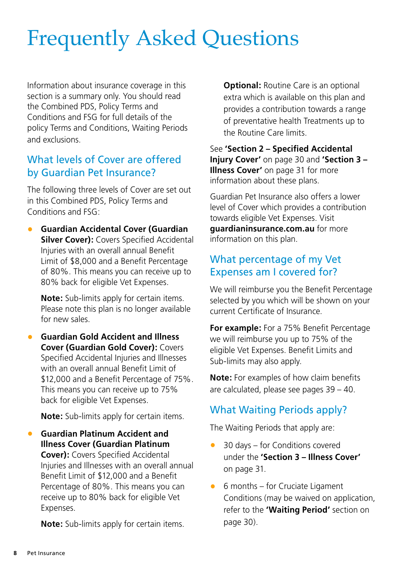# Frequently Asked Questions

Information about insurance coverage in this section is a summary only. You should read the Combined PDS, Policy Terms and Conditions and FSG for full details of the policy Terms and Conditions, Waiting Periods and exclusions.

## What levels of Cover are offered by Guardian Pet Insurance?

The following three levels of Cover are set out in this Combined PDS, Policy Terms and Conditions and FSG:

**• Guardian Accidental Cover (Guardian Silver Cover):** Covers Specified Accidental Injuries with an overall annual Benefit Limit of \$8,000 and a Benefit Percentage of 80%. This means you can receive up to 80% back for eligible Vet Expenses.

**Note:** Sub-limits apply for certain items. Please note this plan is no longer available for new sales.

**• Guardian Gold Accident and Illness Cover (Guardian Gold Cover):** Covers Specified Accidental Injuries and Illnesses with an overall annual Benefit Limit of \$12,000 and a Benefit Percentage of 75%. This means you can receive up to 75% back for eligible Vet Expenses.

**Note:** Sub-limits apply for certain items.

**• Guardian Platinum Accident and Illness Cover (Guardian Platinum Cover):** Covers Specified Accidental Injuries and Illnesses with an overall annual Benefit Limit of \$12,000 and a Benefit Percentage of 80%. This means you can receive up to 80% back for eligible Vet Expenses.

**Note:** Sub-limits apply for certain items.

**Optional:** Routine Care is an optional extra which is available on this plan and provides a contribution towards a range of preventative health Treatments up to the Routine Care limits.

See **'Section 2 – Specified Accidental Injury Cover'** on page 30 and **'Section 3 – Illness Cover'** on page 31 for more information about these plans.

Guardian Pet Insurance also offers a lower level of Cover which provides a contribution towards eligible Vet Expenses. Visit **guardianinsurance.com.au** for more information on this plan.

# What percentage of my Vet Expenses am I covered for?

We will reimburse you the Benefit Percentage selected by you which will be shown on your current Certificate of Insurance.

**For example:** For a 75% Benefit Percentage we will reimburse you up to 75% of the eligible Vet Expenses. Benefit Limits and Sub-limits may also apply.

**Note:** For examples of how claim benefits are calculated, please see pages 39 – 40.

# What Waiting Periods apply?

The Waiting Periods that apply are:

- **•** 30 days for Conditions covered under the **'Section 3 – Illness Cover'** on page 31.
- **•** 6 months for Cruciate Ligament Conditions (may be waived on application, refer to the **'Waiting Period'** section on page 30).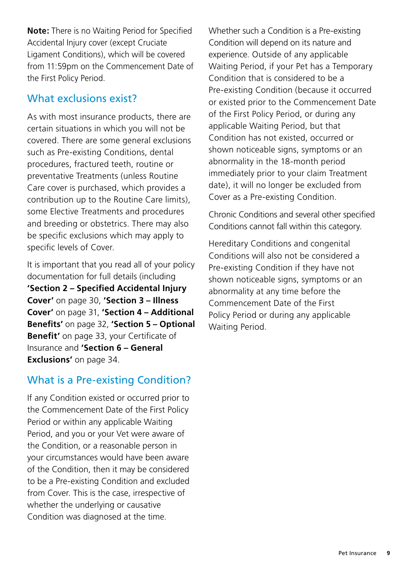**Note:** There is no Waiting Period for Specified Accidental Injury cover (except Cruciate Ligament Conditions), which will be covered from 11:59pm on the Commencement Date of the First Policy Period.

# What exclusions exist?

As with most insurance products, there are certain situations in which you will not be covered. There are some general exclusions such as Pre-existing Conditions, dental procedures, fractured teeth, routine or preventative Treatments (unless Routine Care cover is purchased, which provides a contribution up to the Routine Care limits), some Elective Treatments and procedures and breeding or obstetrics. There may also be specific exclusions which may apply to specific levels of Cover.

It is important that you read all of your policy documentation for full details (including **'Section 2 – Specified Accidental Injury Cover'** on page 30, **'Section 3 – Illness Cover'** on page 31, **'Section 4 – Additional Benefits'** on page 32, **'Section 5 – Optional Benefit'** on page 33, your Certificate of Insurance and **'Section 6 – General Exclusions'** on page 34.

# What is a Pre-existing Condition?

If any Condition existed or occurred prior to the Commencement Date of the First Policy Period or within any applicable Waiting Period, and you or your Vet were aware of the Condition, or a reasonable person in your circumstances would have been aware of the Condition, then it may be considered to be a Pre-existing Condition and excluded from Cover. This is the case, irrespective of whether the underlying or causative Condition was diagnosed at the time.

Whether such a Condition is a Pre-existing Condition will depend on its nature and experience. Outside of any applicable Waiting Period, if your Pet has a Temporary Condition that is considered to be a Pre-existing Condition (because it occurred or existed prior to the Commencement Date of the First Policy Period, or during any applicable Waiting Period, but that Condition has not existed, occurred or shown noticeable signs, symptoms or an abnormality in the 18-month period immediately prior to your claim Treatment date), it will no longer be excluded from Cover as a Pre-existing Condition.

Chronic Conditions and several other specified Conditions cannot fall within this category.

Hereditary Conditions and congenital Conditions will also not be considered a Pre-existing Condition if they have not shown noticeable signs, symptoms or an abnormality at any time before the Commencement Date of the First Policy Period or during any applicable Waiting Period.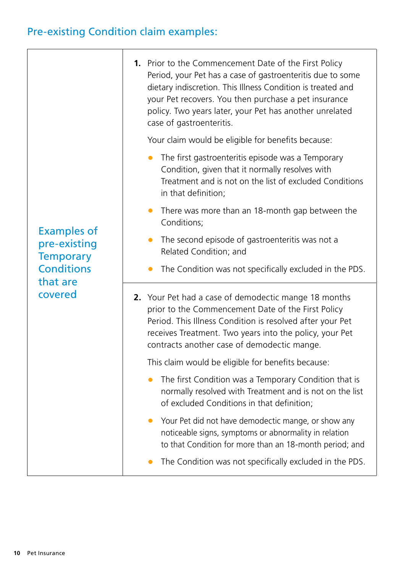# Pre-existing Condition claim examples:

|                                                        | case of gastroenteritis.         | 1. Prior to the Commencement Date of the First Policy<br>Period, your Pet has a case of gastroenteritis due to some<br>dietary indiscretion. This Illness Condition is treated and<br>your Pet recovers. You then purchase a pet insurance<br>policy. Two years later, your Pet has another unrelated |
|--------------------------------------------------------|----------------------------------|-------------------------------------------------------------------------------------------------------------------------------------------------------------------------------------------------------------------------------------------------------------------------------------------------------|
|                                                        |                                  | Your claim would be eligible for benefits because:                                                                                                                                                                                                                                                    |
|                                                        | $\bullet$<br>in that definition; | The first gastroenteritis episode was a Temporary<br>Condition, given that it normally resolves with<br>Treatment and is not on the list of excluded Conditions                                                                                                                                       |
|                                                        | $\bullet$<br>Conditions;         | There was more than an 18-month gap between the                                                                                                                                                                                                                                                       |
| <b>Examples of</b><br>pre-existing<br><b>Temporary</b> |                                  | The second episode of gastroenteritis was not a<br>Related Condition; and                                                                                                                                                                                                                             |
| <b>Conditions</b><br>that are                          |                                  | The Condition was not specifically excluded in the PDS.                                                                                                                                                                                                                                               |
| covered                                                |                                  | 2. Your Pet had a case of demodectic mange 18 months<br>prior to the Commencement Date of the First Policy<br>Period. This Illness Condition is resolved after your Pet<br>receives Treatment. Two years into the policy, your Pet<br>contracts another case of demodectic mange.                     |
|                                                        |                                  | This claim would be eligible for benefits because:                                                                                                                                                                                                                                                    |
|                                                        | $\bullet$                        | The first Condition was a Temporary Condition that is<br>normally resolved with Treatment and is not on the list<br>of excluded Conditions in that definition;                                                                                                                                        |
|                                                        | $\bullet$                        | Your Pet did not have demodectic mange, or show any<br>noticeable signs, symptoms or abnormality in relation<br>to that Condition for more than an 18-month period; and                                                                                                                               |
|                                                        |                                  | The Condition was not specifically excluded in the PDS.                                                                                                                                                                                                                                               |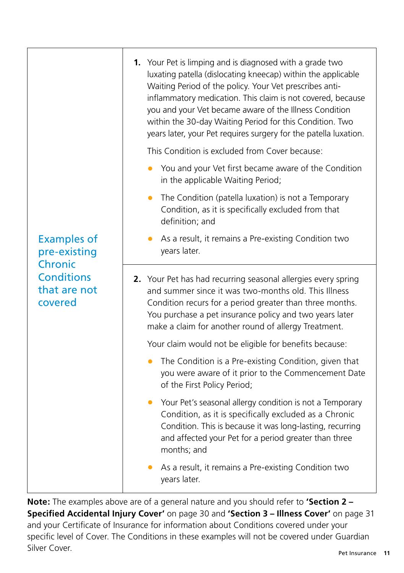|                                                                                               | <b>1.</b> Your Pet is limping and is diagnosed with a grade two<br>luxating patella (dislocating kneecap) within the applicable<br>Waiting Period of the policy. Your Vet prescribes anti-<br>inflammatory medication. This claim is not covered, because<br>you and your Vet became aware of the Illness Condition<br>within the 30-day Waiting Period for this Condition. Two<br>years later, your Pet requires surgery for the patella luxation. |
|-----------------------------------------------------------------------------------------------|-----------------------------------------------------------------------------------------------------------------------------------------------------------------------------------------------------------------------------------------------------------------------------------------------------------------------------------------------------------------------------------------------------------------------------------------------------|
|                                                                                               | This Condition is excluded from Cover because:                                                                                                                                                                                                                                                                                                                                                                                                      |
| <b>Examples of</b><br>pre-existing<br>Chronic<br><b>Conditions</b><br>that are not<br>covered | You and your Vet first became aware of the Condition<br>$\bullet$<br>in the applicable Waiting Period;                                                                                                                                                                                                                                                                                                                                              |
|                                                                                               | The Condition (patella luxation) is not a Temporary<br>$\bullet$<br>Condition, as it is specifically excluded from that<br>definition; and                                                                                                                                                                                                                                                                                                          |
|                                                                                               | As a result, it remains a Pre-existing Condition two<br>years later.                                                                                                                                                                                                                                                                                                                                                                                |
|                                                                                               | 2. Your Pet has had recurring seasonal allergies every spring<br>and summer since it was two-months old. This Illness<br>Condition recurs for a period greater than three months.<br>You purchase a pet insurance policy and two years later<br>make a claim for another round of allergy Treatment.                                                                                                                                                |
|                                                                                               | Your claim would not be eligible for benefits because:                                                                                                                                                                                                                                                                                                                                                                                              |
|                                                                                               | The Condition is a Pre-existing Condition, given that<br>$\bullet$<br>you were aware of it prior to the Commencement Date<br>of the First Policy Period;                                                                                                                                                                                                                                                                                            |
|                                                                                               | Your Pet's seasonal allergy condition is not a Temporary<br>$\bullet$<br>Condition, as it is specifically excluded as a Chronic<br>Condition. This is because it was long-lasting, recurring<br>and affected your Pet for a period greater than three<br>months; and                                                                                                                                                                                |
|                                                                                               | As a result, it remains a Pre-existing Condition two<br>years later.                                                                                                                                                                                                                                                                                                                                                                                |

**Note:** The examples above are of a general nature and you should refer to **'Section 2 – Specified Accidental Injury Cover'** on page 30 and **'Section 3 – Illness Cover'** on page 31 and your Certificate of Insurance for information about Conditions covered under your specific level of Cover. The Conditions in these examples will not be covered under Guardian Silver Cover. **Pet Insurance** 11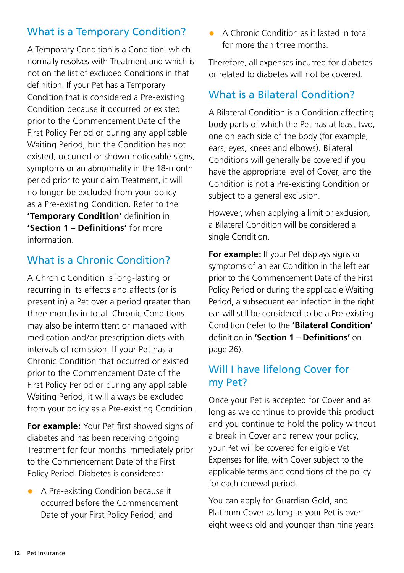# What is a Temporary Condition?

A Temporary Condition is a Condition, which normally resolves with Treatment and which is not on the list of excluded Conditions in that definition. If your Pet has a Temporary Condition that is considered a Pre-existing Condition because it occurred or existed prior to the Commencement Date of the First Policy Period or during any applicable Waiting Period, but the Condition has not existed, occurred or shown noticeable signs. symptoms or an abnormality in the 18-month period prior to your claim Treatment, it will no longer be excluded from your policy as a Pre-existing Condition. Refer to the **'Temporary Condition'** definition in **'Section 1 – Definitions'** for more information.

# What is a Chronic Condition?

A Chronic Condition is long-lasting or recurring in its effects and affects (or is present in) a Pet over a period greater than three months in total. Chronic Conditions may also be intermittent or managed with medication and/or prescription diets with intervals of remission. If your Pet has a Chronic Condition that occurred or existed prior to the Commencement Date of the First Policy Period or during any applicable Waiting Period, it will always be excluded from your policy as a Pre-existing Condition.

**For example:** Your Pet first showed signs of diabetes and has been receiving ongoing Treatment for four months immediately prior to the Commencement Date of the First Policy Period. Diabetes is considered:

**•** A Pre-existing Condition because it occurred before the Commencement Date of your First Policy Period; and

**•** A Chronic Condition as it lasted in total for more than three months.

Therefore, all expenses incurred for diabetes or related to diabetes will not be covered.

# What is a Bilateral Condition?

A Bilateral Condition is a Condition affecting body parts of which the Pet has at least two, one on each side of the body (for example, ears, eyes, knees and elbows). Bilateral Conditions will generally be covered if you have the appropriate level of Cover, and the Condition is not a Pre-existing Condition or subject to a general exclusion.

However, when applying a limit or exclusion, a Bilateral Condition will be considered a single Condition.

**For example:** If your Pet displays signs or symptoms of an ear Condition in the left ear prior to the Commencement Date of the First Policy Period or during the applicable Waiting Period, a subsequent ear infection in the right ear will still be considered to be a Pre-existing Condition (refer to the **'Bilateral Condition'** definition in **'Section 1 – Definitions'** on page 26).

# Will I have lifelong Cover for my Pet?

Once your Pet is accepted for Cover and as long as we continue to provide this product and you continue to hold the policy without a break in Cover and renew your policy, your Pet will be covered for eligible Vet Expenses for life, with Cover subject to the applicable terms and conditions of the policy for each renewal period.

You can apply for Guardian Gold, and Platinum Cover as long as your Pet is over eight weeks old and younger than nine years.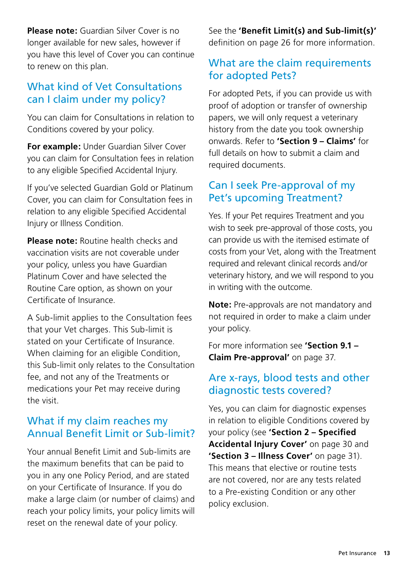**Please note:** Guardian Silver Cover is no longer available for new sales, however if you have this level of Cover you can continue to renew on this plan.

## What kind of Vet Consultations can I claim under my policy?

You can claim for Consultations in relation to Conditions covered by your policy.

**For example:** Under Guardian Silver Cover you can claim for Consultation fees in relation to any eligible Specified Accidental Injury.

If you've selected Guardian Gold or Platinum Cover, you can claim for Consultation fees in relation to any eligible Specified Accidental Injury or Illness Condition.

**Please note:** Routine health checks and vaccination visits are not coverable under your policy, unless you have Guardian Platinum Cover and have selected the Routine Care option, as shown on your Certificate of Insurance.

A Sub-limit applies to the Consultation fees that your Vet charges. This Sub-limit is stated on your Certificate of Insurance. When claiming for an eligible Condition. this Sub-limit only relates to the Consultation fee, and not any of the Treatments or medications your Pet may receive during the visit.

# What if my claim reaches my Annual Benefit Limit or Sub-limit?

Your annual Benefit Limit and Sub-limits are the maximum benefits that can be paid to you in any one Policy Period, and are stated on your Certificate of Insurance. If you do make a large claim (or number of claims) and reach your policy limits, your policy limits will reset on the renewal date of your policy.

See the **'Benefit Limit(s) and Sub-limit(s)'** definition on page 26 for more information.

# What are the claim requirements for adopted Pets?

For adopted Pets, if you can provide us with proof of adoption or transfer of ownership papers, we will only request a veterinary history from the date you took ownership onwards. Refer to **'Section 9 – Claims'** for full details on how to submit a claim and required documents.

## Can I seek Pre-approval of my Pet's upcoming Treatment?

Yes. If your Pet requires Treatment and you wish to seek pre-approval of those costs, you can provide us with the itemised estimate of costs from your Vet, along with the Treatment required and relevant clinical records and/or veterinary history, and we will respond to you in writing with the outcome.

**Note:** Pre-approvals are not mandatory and not required in order to make a claim under your policy.

For more information see **'Section 9.1 – Claim Pre-approval'** on page 37.

# Are x-rays, blood tests and other diagnostic tests covered?

Yes, you can claim for diagnostic expenses in relation to eligible Conditions covered by your policy (see **'Section 2 – Specified Accidental Injury Cover'** on page 30 and **'Section 3 – Illness Cover'** on page 31). This means that elective or routine tests are not covered, nor are any tests related to a Pre-existing Condition or any other policy exclusion.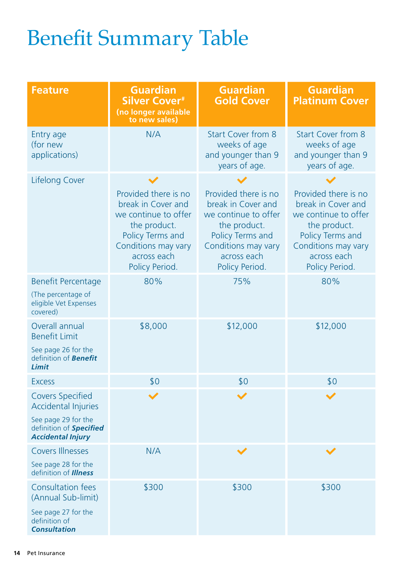# Benefit Summary Table

| <b>Feature</b>                                                                                                                      | <b>Guardian</b><br><b>Silver Cover#</b><br>(no longer available<br>to new sales)                                                                               | <b>Guardian</b><br><b>Gold Cover</b>                                                                                                                           | <b>Guardian</b><br><b>Platinum Cover</b>                                                                                                                       |
|-------------------------------------------------------------------------------------------------------------------------------------|----------------------------------------------------------------------------------------------------------------------------------------------------------------|----------------------------------------------------------------------------------------------------------------------------------------------------------------|----------------------------------------------------------------------------------------------------------------------------------------------------------------|
| Entry age<br>(for new<br>applications)                                                                                              | N/A                                                                                                                                                            | <b>Start Cover from 8</b><br>weeks of age<br>and younger than 9<br>years of age.                                                                               | <b>Start Cover from 8</b><br>weeks of age<br>and younger than 9<br>years of age.                                                                               |
| <b>Lifelong Cover</b>                                                                                                               | Provided there is no<br>break in Cover and<br>we continue to offer<br>the product.<br>Policy Terms and<br>Conditions may vary<br>across each<br>Policy Period. | Provided there is no<br>break in Cover and<br>we continue to offer<br>the product.<br>Policy Terms and<br>Conditions may vary<br>across each<br>Policy Period. | Provided there is no<br>break in Cover and<br>we continue to offer<br>the product.<br>Policy Terms and<br>Conditions may vary<br>across each<br>Policy Period. |
| <b>Benefit Percentage</b><br>(The percentage of<br>eligible Vet Expenses<br>covered)                                                | 80%                                                                                                                                                            | 75%                                                                                                                                                            | 80%                                                                                                                                                            |
| Overall annual<br><b>Benefit Limit</b><br>See page 26 for the<br>definition of <b>Benefit</b><br>Limit                              | \$8,000                                                                                                                                                        | \$12,000                                                                                                                                                       | \$12,000                                                                                                                                                       |
| <b>Excess</b>                                                                                                                       | \$0                                                                                                                                                            | \$0                                                                                                                                                            | \$0                                                                                                                                                            |
| <b>Covers Specified</b><br><b>Accidental Injuries</b><br>See page 29 for the<br>definition of Specified<br><b>Accidental Injury</b> |                                                                                                                                                                |                                                                                                                                                                |                                                                                                                                                                |
| <b>Covers Illnesses</b><br>See page 28 for the<br>definition of <b>Illness</b>                                                      | N/A                                                                                                                                                            |                                                                                                                                                                |                                                                                                                                                                |
| <b>Consultation fees</b><br>(Annual Sub-limit)<br>See page 27 for the<br>definition of<br><b>Consultation</b>                       | \$300                                                                                                                                                          | \$300                                                                                                                                                          | \$300                                                                                                                                                          |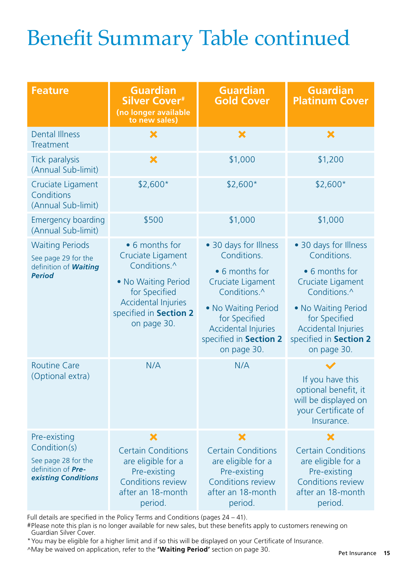# Benefit Summary Table continued

| <b>Feature</b>                                                                                   | <b>Guardian</b><br><b>Silver Cover#</b><br>(no longer available<br>to new sales)                                                                                               | <b>Guardian</b><br><b>Gold Cover</b>                                                                                                                                                                                   | <b>Guardian</b><br><b>Platinum Cover</b>                                                                                                                                                                               |
|--------------------------------------------------------------------------------------------------|--------------------------------------------------------------------------------------------------------------------------------------------------------------------------------|------------------------------------------------------------------------------------------------------------------------------------------------------------------------------------------------------------------------|------------------------------------------------------------------------------------------------------------------------------------------------------------------------------------------------------------------------|
| <b>Dental Illness</b><br>Treatment                                                               | $\overline{\mathsf{x}}$                                                                                                                                                        | ×                                                                                                                                                                                                                      | ×                                                                                                                                                                                                                      |
| <b>Tick paralysis</b><br>(Annual Sub-limit)                                                      | ×                                                                                                                                                                              | \$1,000                                                                                                                                                                                                                | \$1,200                                                                                                                                                                                                                |
| Cruciate Ligament<br>Conditions<br>(Annual Sub-limit)                                            | \$2,600*                                                                                                                                                                       | \$2,600*                                                                                                                                                                                                               | \$2,600*                                                                                                                                                                                                               |
| <b>Emergency boarding</b><br>(Annual Sub-limit)                                                  | \$500                                                                                                                                                                          | \$1,000                                                                                                                                                                                                                | \$1,000                                                                                                                                                                                                                |
| <b>Waiting Periods</b><br>See page 29 for the<br>definition of <b>Waiting</b><br><b>Period</b>   | • 6 months for<br>Cruciate Ligament<br>Conditions. <sup>^</sup><br>. No Waiting Period<br>for Specified<br><b>Accidental Injuries</b><br>specified in Section 2<br>on page 30. | • 30 days for Illness<br>Conditions.<br>• 6 months for<br>Cruciate Ligament<br>Conditions. <sup>^</sup><br>. No Waiting Period<br>for Specified<br><b>Accidental Injuries</b><br>specified in Section 2<br>on page 30. | • 30 days for Illness<br>Conditions.<br>• 6 months for<br>Cruciate Ligament<br>Conditions. <sup>^</sup><br>. No Waiting Period<br>for Specified<br><b>Accidental Injuries</b><br>specified in Section 2<br>on page 30. |
| <b>Routine Care</b><br>(Optional extra)                                                          | N/A                                                                                                                                                                            | N/A                                                                                                                                                                                                                    | If you have this<br>optional benefit, it<br>will be displayed on<br>your Certificate of<br>Insurance.                                                                                                                  |
| Pre-existing<br>Condition(s)<br>See page 28 for the<br>definition of Pre-<br>existing Conditions | X<br><b>Certain Conditions</b><br>are eligible for a<br>Pre-existing<br>Conditions review<br>after an 18-month<br>period.                                                      | X<br><b>Certain Conditions</b><br>are eligible for a<br>Pre-existing<br>Conditions review<br>after an 18-month<br>period.                                                                                              | Х<br><b>Certain Conditions</b><br>are eligible for a<br>Pre-existing<br>Conditions review<br>after an 18-month<br>period.                                                                                              |

Full details are specified in the Policy Terms and Conditions (pages 24 – 41).

#Please note this plan is no longer available for new sales, but these benefits apply to customers renewing on<br>Guardian Silver Cover.

\*You may be eligible for a higher limit and if so this will be displayed on your Certificate of Insurance.

^May be waived on application, refer to the **'Waiting Period'** section on page 30.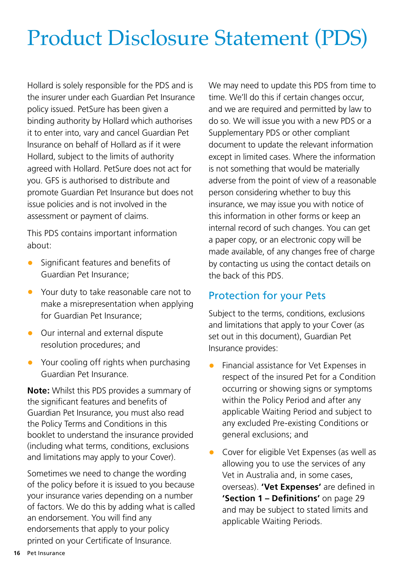# Product Disclosure Statement (PDS)

Hollard is solely responsible for the PDS and is the insurer under each Guardian Pet Insurance policy issued. PetSure has been given a binding authority by Hollard which authorises it to enter into, vary and cancel Guardian Pet Insurance on behalf of Hollard as if it were Hollard, subject to the limits of authority agreed with Hollard. PetSure does not act for you. GFS is authorised to distribute and promote Guardian Pet Insurance but does not issue policies and is not involved in the assessment or payment of claims.

This PDS contains important information about:

- **•** Significant features and benefits of Guardian Pet Insurance;
- **•** Your duty to take reasonable care not to make a misrepresentation when applying for Guardian Pet Insurance;
- **•** Our internal and external dispute resolution procedures; and
- **•** Your cooling off rights when purchasing Guardian Pet Insurance.

**Note:** Whilst this PDS provides a summary of the significant features and benefits of Guardian Pet Insurance, you must also read the Policy Terms and Conditions in this booklet to understand the insurance provided (including what terms, conditions, exclusions and limitations may apply to your Cover).

Sometimes we need to change the wording of the policy before it is issued to you because your insurance varies depending on a number of factors. We do this by adding what is called an endorsement. You will find any endorsements that apply to your policy printed on your Certificate of Insurance.

We may need to update this PDS from time to time. We'll do this if certain changes occur, and we are required and permitted by law to do so. We will issue you with a new PDS or a Supplementary PDS or other compliant document to update the relevant information except in limited cases. Where the information is not something that would be materially adverse from the point of view of a reasonable person considering whether to buy this insurance, we may issue you with notice of this information in other forms or keep an internal record of such changes. You can get a paper copy, or an electronic copy will be made available, of any changes free of charge by contacting us using the contact details on the back of this PDS.

# Protection for your Pets

Subject to the terms, conditions, exclusions and limitations that apply to your Cover (as set out in this document), Guardian Pet Insurance provides:

- **•** Financial assistance for Vet Expenses in respect of the insured Pet for a Condition occurring or showing signs or symptoms within the Policy Period and after any applicable Waiting Period and subject to any excluded Pre-existing Conditions or general exclusions; and
- **•** Cover for eligible Vet Expenses (as well as allowing you to use the services of any Vet in Australia and, in some cases, overseas). **'Vet Expenses'** are defined in **'Section 1 – Definitions'** on page 29 and may be subject to stated limits and applicable Waiting Periods.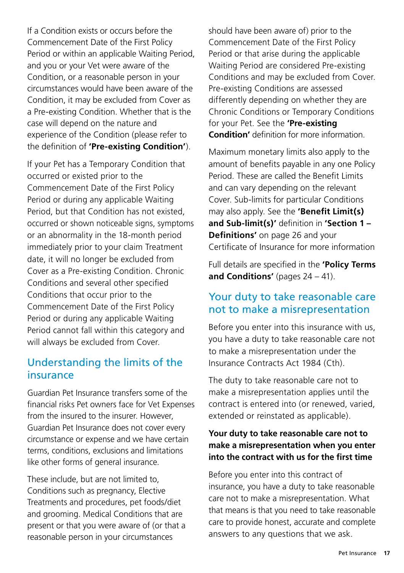If a Condition exists or occurs before the Commencement Date of the First Policy Period or within an applicable Waiting Period, and you or your Vet were aware of the Condition, or a reasonable person in your circumstances would have been aware of the Condition, it may be excluded from Cover as a Pre-existing Condition. Whether that is the case will depend on the nature and experience of the Condition (please refer to the definition of **'Pre-existing Condition'**).

If your Pet has a Temporary Condition that occurred or existed prior to the Commencement Date of the First Policy Period or during any applicable Waiting Period, but that Condition has not existed, occurred or shown noticeable signs, symptoms or an abnormality in the 18-month period immediately prior to your claim Treatment date, it will no longer be excluded from Cover as a Pre-existing Condition. Chronic Conditions and several other specified Conditions that occur prior to the Commencement Date of the First Policy Period or during any applicable Waiting Period cannot fall within this category and will always be excluded from Cover.

## Understanding the limits of the insurance

Guardian Pet Insurance transfers some of the financial risks Pet owners face for Vet Expenses from the insured to the insurer. However, Guardian Pet Insurance does not cover every circumstance or expense and we have certain terms, conditions, exclusions and limitations like other forms of general insurance.

These include, but are not limited to, Conditions such as pregnancy, Elective Treatments and procedures, pet foods/diet and grooming. Medical Conditions that are present or that you were aware of (or that a reasonable person in your circumstances

should have been aware of) prior to the Commencement Date of the First Policy Period or that arise during the applicable Waiting Period are considered Pre-existing Conditions and may be excluded from Cover. Pre-existing Conditions are assessed differently depending on whether they are Chronic Conditions or Temporary Conditions for your Pet. See the **'Pre-existing Condition'** definition for more information.

Maximum monetary limits also apply to the amount of benefits payable in any one Policy Period. These are called the Benefit Limits and can vary depending on the relevant Cover. Sub-limits for particular Conditions may also apply. See the **'Benefit Limit(s) and Sub-limit(s)'** definition in **'Section 1 – Definitions'** on page 26 and your Certificate of Insurance for more information

Full details are specified in the **'Policy Terms and Conditions'** (pages 24 – 41).

## Your duty to take reasonable care not to make a misrepresentation

Before you enter into this insurance with us, you have a duty to take reasonable care not to make a misrepresentation under the Insurance Contracts Act 1984 (Cth).

The duty to take reasonable care not to make a misrepresentation applies until the contract is entered into (or renewed, varied, extended or reinstated as applicable).

#### **Your duty to take reasonable care not to make a misrepresentation when you enter into the contract with us for the first time**

Before you enter into this contract of insurance, you have a duty to take reasonable care not to make a misrepresentation. What that means is that you need to take reasonable care to provide honest, accurate and complete answers to any questions that we ask.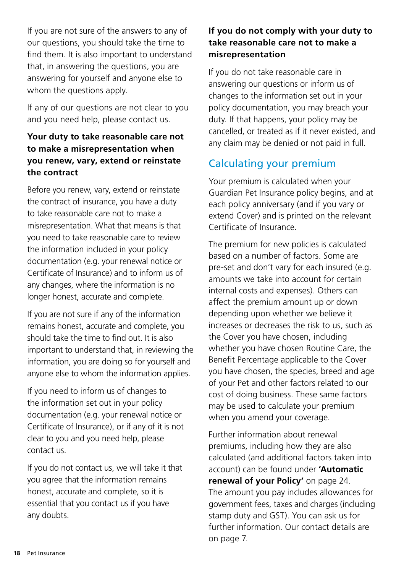If you are not sure of the answers to any of our questions, you should take the time to find them. It is also important to understand that, in answering the questions, you are answering for yourself and anyone else to whom the questions apply.

If any of our questions are not clear to you and you need help, please contact us.

#### **Your duty to take reasonable care not to make a misrepresentation when you renew, vary, extend or reinstate the contract**

Before you renew, vary, extend or reinstate the contract of insurance, you have a duty to take reasonable care not to make a misrepresentation. What that means is that you need to take reasonable care to review the information included in your policy documentation (e.g. your renewal notice or Certificate of Insurance) and to inform us of any changes, where the information is no longer honest, accurate and complete.

If you are not sure if any of the information remains honest, accurate and complete, you should take the time to find out. It is also important to understand that, in reviewing the information, you are doing so for yourself and anyone else to whom the information applies.

If you need to inform us of changes to the information set out in your policy documentation (e.g. your renewal notice or Certificate of Insurance), or if any of it is not clear to you and you need help, please contact us.

If you do not contact us, we will take it that you agree that the information remains honest, accurate and complete, so it is essential that you contact us if you have any doubts.

### **If you do not comply with your duty to take reasonable care not to make a misrepresentation**

If you do not take reasonable care in answering our questions or inform us of changes to the information set out in your policy documentation, you may breach your duty. If that happens, your policy may be cancelled, or treated as if it never existed, and any claim may be denied or not paid in full.

# Calculating your premium

Your premium is calculated when your Guardian Pet Insurance policy begins, and at each policy anniversary (and if you vary or extend Cover) and is printed on the relevant Certificate of Insurance.

The premium for new policies is calculated based on a number of factors. Some are pre-set and don't vary for each insured (e.g. amounts we take into account for certain internal costs and expenses). Others can affect the premium amount up or down depending upon whether we believe it increases or decreases the risk to us, such as the Cover you have chosen, including whether you have chosen Routine Care, the Benefit Percentage applicable to the Cover you have chosen, the species, breed and age of your Pet and other factors related to our cost of doing business. These same factors may be used to calculate your premium when you amend your coverage.

Further information about renewal premiums, including how they are also calculated (and additional factors taken into account) can be found under **'Automatic renewal of your Policy'** on page 24. The amount you pay includes allowances for government fees, taxes and charges (including stamp duty and GST). You can ask us for further information. Our contact details are on page 7.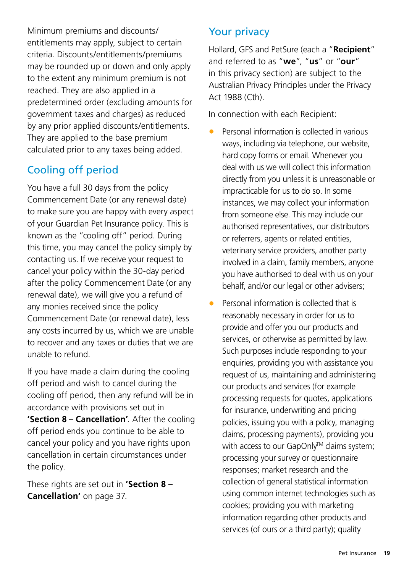Minimum premiums and discounts/ entitlements may apply, subject to certain criteria. Discounts/entitlements/premiums may be rounded up or down and only apply to the extent any minimum premium is not reached. They are also applied in a predetermined order (excluding amounts for government taxes and charges) as reduced by any prior applied discounts/entitlements. They are applied to the base premium calculated prior to any taxes being added.

# Cooling off period

You have a full 30 days from the policy Commencement Date (or any renewal date) to make sure you are happy with every aspect of your Guardian Pet Insurance policy. This is known as the "cooling off" period. During this time, you may cancel the policy simply by contacting us. If we receive your request to cancel your policy within the 30-day period after the policy Commencement Date (or any renewal date), we will give you a refund of any monies received since the policy Commencement Date (or renewal date), less any costs incurred by us, which we are unable to recover and any taxes or duties that we are unable to refund.

If you have made a claim during the cooling off period and wish to cancel during the cooling off period, then any refund will be in accordance with provisions set out in **'Section 8 – Cancellation'**. After the cooling off period ends you continue to be able to cancel your policy and you have rights upon cancellation in certain circumstances under the policy.

These rights are set out in **'Section 8 – Cancellation'** on page 37.

# Your privacy

Hollard, GFS and PetSure (each a "**Recipient**" and referred to as "**we**", "**us**" or "**our**" in this privacy section) are subject to the Australian Privacy Principles under the Privacy Act 1988 (Cth).

In connection with each Recipient:

- **•** Personal information is collected in various ways, including via telephone, our website, hard copy forms or email. Whenever you deal with us we will collect this information directly from you unless it is unreasonable or impracticable for us to do so. In some instances, we may collect your information from someone else. This may include our authorised representatives, our distributors or referrers, agents or related entities, veterinary service providers, another party involved in a claim, family members, anyone you have authorised to deal with us on your behalf, and/or our legal or other advisers;
- **•** Personal information is collected that is reasonably necessary in order for us to provide and offer you our products and services, or otherwise as permitted by law. Such purposes include responding to your enquiries, providing you with assistance you request of us, maintaining and administering our products and services (for example processing requests for quotes, applications for insurance, underwriting and pricing policies, issuing you with a policy, managing claims, processing payments), providing you with access to our GapOnly™ claims system; processing your survey or questionnaire responses; market research and the collection of general statistical information using common internet technologies such as cookies; providing you with marketing information regarding other products and services (of ours or a third party); quality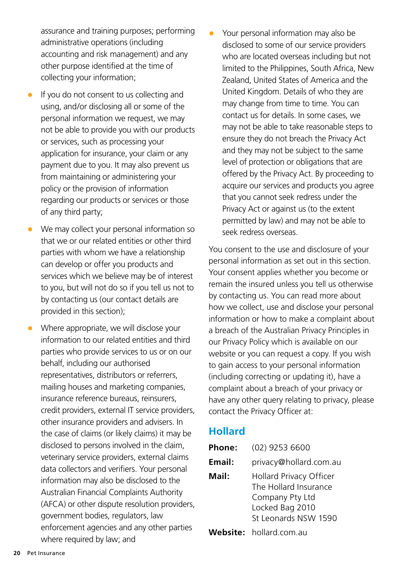assurance and training purposes; performing administrative operations (including accounting and risk management) and any other purpose identified at the time of collecting your information;

- **•** If you do not consent to us collecting and using, and/or disclosing all or some of the personal information we request, we may not be able to provide you with our products or services, such as processing your application for insurance, your claim or any payment due to you. It may also prevent us from maintaining or administering your policy or the provision of information regarding our products or services or those of any third party;
- **•** We may collect your personal information so that we or our related entities or other third parties with whom we have a relationship can develop or offer you products and services which we believe may be of interest to you, but will not do so if you tell us not to by contacting us (our contact details are provided in this section);
- **•** Where appropriate, we will disclose your information to our related entities and third parties who provide services to us or on our behalf, including our authorised representatives, distributors or referrers, mailing houses and marketing companies, insurance reference bureaus, reinsurers, credit providers, external IT service providers, other insurance providers and advisers. In the case of claims (or likely claims) it may be disclosed to persons involved in the claim, veterinary service providers, external claims data collectors and verifiers. Your personal information may also be disclosed to the Australian Financial Complaints Authority (AFCA) or other dispute resolution providers, government bodies, regulators, law enforcement agencies and any other parties where required by law; and

**•** Your personal information may also be disclosed to some of our service providers who are located overseas including but not limited to the Philippines, South Africa, New Zealand, United States of America and the United Kingdom. Details of who they are may change from time to time. You can contact us for details. In some cases, we may not be able to take reasonable steps to ensure they do not breach the Privacy Act and they may not be subject to the same level of protection or obligations that are offered by the Privacy Act. By proceeding to acquire our services and products you agree that you cannot seek redress under the Privacy Act or against us (to the extent permitted by law) and may not be able to seek redress overseas.

You consent to the use and disclosure of your personal information as set out in this section. Your consent applies whether you become or remain the insured unless you tell us otherwise by contacting us. You can read more about how we collect, use and disclose your personal information or how to make a complaint about a breach of the Australian Privacy Principles in our Privacy Policy which is available on our website or you can request a copy. If you wish to gain access to your personal information (including correcting or updating it), have a complaint about a breach of your privacy or have any other query relating to privacy, please contact the Privacy Officer at:

### **Hollard**

| Phone: | (02) 9253 6600                                                                                                 |
|--------|----------------------------------------------------------------------------------------------------------------|
| Email: | privacy@hollard.com.au                                                                                         |
| Mail:  | Hollard Privacy Officer<br>The Hollard Insurance<br>Company Pty Ltd<br>Locked Bag 2010<br>St Leonards NSW 1590 |
|        | <b>Website:</b> hollard.com.au                                                                                 |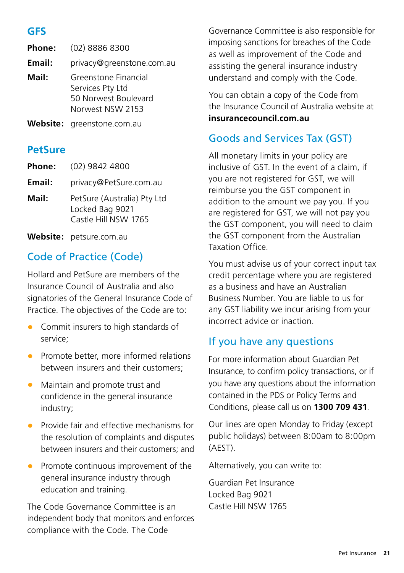# **GFS**

| <b>Phone:</b> | (02) 8886 8300                                                                       |
|---------------|--------------------------------------------------------------------------------------|
| Email:        | privacy@greenstone.com.au                                                            |
| Mail:         | Greenstone Financial<br>Services Pty Ltd<br>50 Norwest Boulevard<br>Norwest NSW 2153 |

**Website:** greenstone.com.au

## **PetSure**

| (02) 9842 4800                                                         |
|------------------------------------------------------------------------|
| privacy@PetSure.com.au                                                 |
| PetSure (Australia) Pty Ltd<br>Locked Bag 9021<br>Castle Hill NSW 1765 |
|                                                                        |

**Website:** petsure.com.au

# Code of Practice (Code)

Hollard and PetSure are members of the Insurance Council of Australia and also signatories of the General Insurance Code of Practice. The objectives of the Code are to:

- **•** Commit insurers to high standards of service;
- Promote better, more informed relations between insurers and their customers;
- **•** Maintain and promote trust and confidence in the general insurance industry;
- **•** Provide fair and effective mechanisms for the resolution of complaints and disputes between insurers and their customers; and
- **•** Promote continuous improvement of the general insurance industry through education and training.

The Code Governance Committee is an independent body that monitors and enforces compliance with the Code. The Code

Governance Committee is also responsible for imposing sanctions for breaches of the Code as well as improvement of the Code and assisting the general insurance industry understand and comply with the Code.

You can obtain a copy of the Code from the Insurance Council of Australia website at **insurancecouncil.com.au**

# Goods and Services Tax (GST)

All monetary limits in your policy are inclusive of GST. In the event of a claim, if you are not registered for GST, we will reimburse you the GST component in addition to the amount we pay you. If you are registered for GST, we will not pay you the GST component, you will need to claim the GST component from the Australian Taxation Office.

You must advise us of your correct input tax credit percentage where you are registered as a business and have an Australian Business Number. You are liable to us for any GST liability we incur arising from your incorrect advice or inaction.

# If you have any questions

For more information about Guardian Pet Insurance, to confirm policy transactions, or if you have any questions about the information contained in the PDS or Policy Terms and Conditions, please call us on **1300 709 431**.

Our lines are open Monday to Friday (except public holidays) between 8:00am to 8:00pm (AEST).

Alternatively, you can write to:

Guardian Pet Insurance Locked Bag 9021 Castle Hill NSW 1765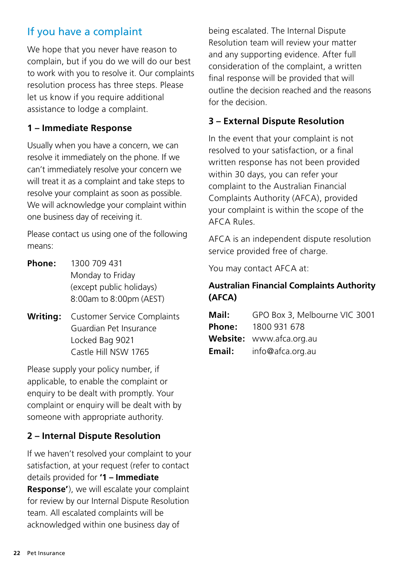# If you have a complaint

We hope that you never have reason to complain, but if you do we will do our best to work with you to resolve it. Our complaints resolution process has three steps. Please let us know if you require additional assistance to lodge a complaint.

#### **1 – Immediate Response**

Usually when you have a concern, we can resolve it immediately on the phone. If we can't immediately resolve your concern we will treat it as a complaint and take steps to resolve your complaint as soon as possible. We will acknowledge your complaint within one business day of receiving it.

Please contact us using one of the following means:

- **Phone:** 1300 709 431 Monday to Friday (except public holidays) 8:00am to 8:00pm (AEST)
- **Writing:** Customer Service Complaints Guardian Pet Insurance Locked Bag 9021 Castle Hill NSW 1765

Please supply your policy number, if applicable, to enable the complaint or enquiry to be dealt with promptly. Your complaint or enquiry will be dealt with by someone with appropriate authority.

### **2 – Internal Dispute Resolution**

If we haven't resolved your complaint to your satisfaction, at your request (refer to contact details provided for **'1 – Immediate Response'**), we will escalate your complaint for review by our Internal Dispute Resolution team. All escalated complaints will be acknowledged within one business day of

being escalated. The Internal Dispute Resolution team will review your matter and any supporting evidence. After full consideration of the complaint, a written final response will be provided that will outline the decision reached and the reasons for the decision.

## **3 – External Dispute Resolution**

In the event that your complaint is not resolved to your satisfaction, or a final written response has not been provided within 30 days, you can refer your complaint to the Australian Financial Complaints Authority (AFCA), provided your complaint is within the scope of the AFCA Rules.

AFCA is an independent dispute resolution service provided free of charge.

You may contact AFCA at:

### **Australian Financial Complaints Authority (AFCA)**

| Mail:  | GPO Box 3, Melbourne VIC 3001   |
|--------|---------------------------------|
|        | <b>Phone:</b> 1800 931 678      |
|        | <b>Website:</b> www.afca.org.au |
| Email: | info@afca.org.au                |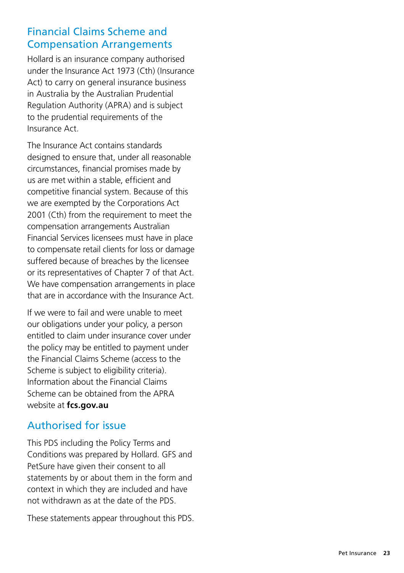## Financial Claims Scheme and Compensation Arrangements

Hollard is an insurance company authorised under the Insurance Act 1973 (Cth) (Insurance Act) to carry on general insurance business in Australia by the Australian Prudential Regulation Authority (APRA) and is subject to the prudential requirements of the Insurance Act.

The Insurance Act contains standards designed to ensure that, under all reasonable circumstances, financial promises made by us are met within a stable, efficient and competitive financial system. Because of this we are exempted by the Corporations Act 2001 (Cth) from the requirement to meet the compensation arrangements Australian Financial Services licensees must have in place to compensate retail clients for loss or damage suffered because of breaches by the licensee or its representatives of Chapter 7 of that Act. We have compensation arrangements in place that are in accordance with the Insurance Act.

If we were to fail and were unable to meet our obligations under your policy, a person entitled to claim under insurance cover under the policy may be entitled to payment under the Financial Claims Scheme (access to the Scheme is subject to eligibility criteria). Information about the Financial Claims Scheme can be obtained from the APRA website at **fcs.gov.au**

## Authorised for issue

This PDS including the Policy Terms and Conditions was prepared by Hollard. GFS and PetSure have given their consent to all statements by or about them in the form and context in which they are included and have not withdrawn as at the date of the PDS.

These statements appear throughout this PDS.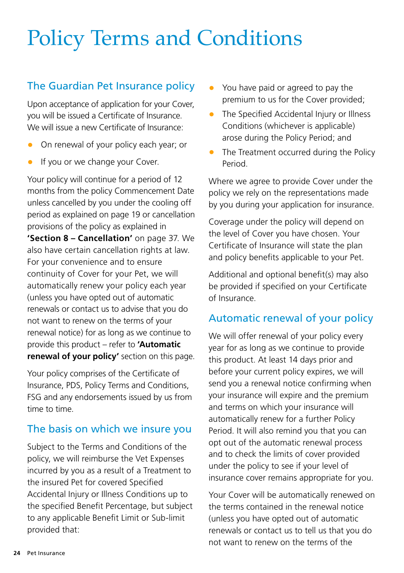# Policy Terms and Conditions

# The Guardian Pet Insurance policy

Upon acceptance of application for your Cover, you will be issued a Certificate of Insurance. We will issue a new Certificate of Insurance:

- **•** On renewal of your policy each year; or
- **•** If you or we change your Cover.

Your policy will continue for a period of 12 months from the policy Commencement Date unless cancelled by you under the cooling off period as explained on page 19 or cancellation provisions of the policy as explained in **'Section 8 – Cancellation'** on page 37. We also have certain cancellation rights at law. For your convenience and to ensure continuity of Cover for your Pet, we will automatically renew your policy each year (unless you have opted out of automatic renewals or contact us to advise that you do not want to renew on the terms of your renewal notice) for as long as we continue to provide this product – refer to **'Automatic renewal of your policy'** section on this page.

Your policy comprises of the Certificate of Insurance, PDS, Policy Terms and Conditions, FSG and any endorsements issued by us from time to time.

# The basis on which we insure you

Subject to the Terms and Conditions of the policy, we will reimburse the Vet Expenses incurred by you as a result of a Treatment to the insured Pet for covered Specified Accidental Injury or Illness Conditions up to the specified Benefit Percentage, but subject to any applicable Benefit Limit or Sub-limit provided that:

- **•** You have paid or agreed to pay the premium to us for the Cover provided;
- **•** The Specified Accidental Injury or Illness Conditions (whichever is applicable) arose during the Policy Period; and
- **•** The Treatment occurred during the Policy Period.

Where we agree to provide Cover under the policy we rely on the representations made by you during your application for insurance.

Coverage under the policy will depend on the level of Cover you have chosen. Your Certificate of Insurance will state the plan and policy benefits applicable to your Pet.

Additional and optional benefit(s) may also be provided if specified on your Certificate of Insurance.

# Automatic renewal of your policy

We will offer renewal of your policy every year for as long as we continue to provide this product. At least 14 days prior and before your current policy expires, we will send you a renewal notice confirming when your insurance will expire and the premium and terms on which your insurance will automatically renew for a further Policy Period. It will also remind you that you can opt out of the automatic renewal process and to check the limits of cover provided under the policy to see if your level of insurance cover remains appropriate for you.

Your Cover will be automatically renewed on the terms contained in the renewal notice (unless you have opted out of automatic renewals or contact us to tell us that you do not want to renew on the terms of the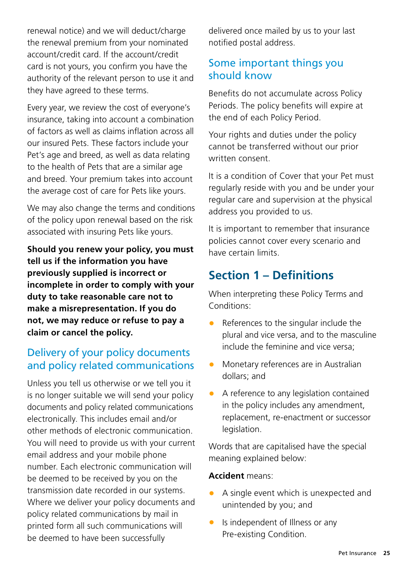renewal notice) and we will deduct/charge the renewal premium from your nominated account/credit card. If the account/credit card is not yours, you confirm you have the authority of the relevant person to use it and they have agreed to these terms.

Every year, we review the cost of everyone's insurance, taking into account a combination of factors as well as claims inflation across all our insured Pets. These factors include your Pet's age and breed, as well as data relating to the health of Pets that are a similar age and breed. Your premium takes into account the average cost of care for Pets like yours.

We may also change the terms and conditions of the policy upon renewal based on the risk associated with insuring Pets like yours.

**Should you renew your policy, you must tell us if the information you have previously supplied is incorrect or incomplete in order to comply with your duty to take reasonable care not to make a misrepresentation. If you do not, we may reduce or refuse to pay a claim or cancel the policy.** 

## Delivery of your policy documents and policy related communications

Unless you tell us otherwise or we tell you it is no longer suitable we will send your policy documents and policy related communications electronically. This includes email and/or other methods of electronic communication. You will need to provide us with your current email address and your mobile phone number. Each electronic communication will be deemed to be received by you on the transmission date recorded in our systems. Where we deliver your policy documents and policy related communications by mail in printed form all such communications will be deemed to have been successfully

delivered once mailed by us to your last notified postal address.

# Some important things you should know

Benefits do not accumulate across Policy Periods. The policy benefits will expire at the end of each Policy Period.

Your rights and duties under the policy cannot be transferred without our prior written consent.

It is a condition of Cover that your Pet must regularly reside with you and be under your regular care and supervision at the physical address you provided to us.

It is important to remember that insurance policies cannot cover every scenario and have certain limits.

# **Section 1 – Definitions**

When interpreting these Policy Terms and Conditions:

- **•** References to the singular include the plural and vice versa, and to the masculine include the feminine and vice versa;
- **•** Monetary references are in Australian dollars; and
- **•** A reference to any legislation contained in the policy includes any amendment, replacement, re-enactment or successor legislation.

Words that are capitalised have the special meaning explained below:

#### **Accident** means:

- **•** A single event which is unexpected and unintended by you; and
- **•** Is independent of Illness or any Pre-existing Condition.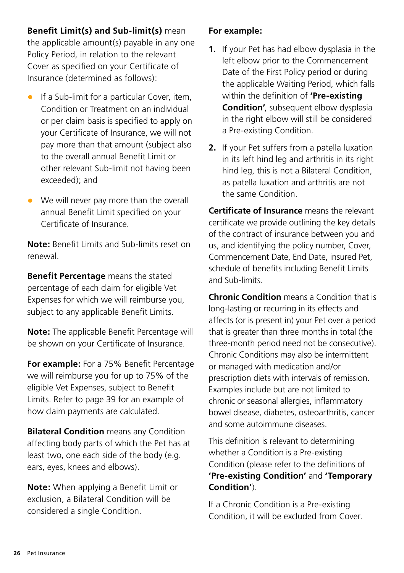**Benefit Limit(s) and Sub-limit(s)** mean the applicable amount(s) payable in any one Policy Period, in relation to the relevant Cover as specified on your Certificate of Insurance (determined as follows):

- **•** If a Sub-limit for a particular Cover, item, Condition or Treatment on an individual or per claim basis is specified to apply on your Certificate of Insurance, we will not pay more than that amount (subject also to the overall annual Benefit Limit or other relevant Sub-limit not having been exceeded); and
- **•** We will never pay more than the overall annual Benefit Limit specified on your Certificate of Insurance.

**Note:** Benefit Limits and Sub-limits reset on renewal.

**Benefit Percentage** means the stated percentage of each claim for eligible Vet Expenses for which we will reimburse you, subject to any applicable Benefit Limits.

**Note:** The applicable Benefit Percentage will be shown on your Certificate of Insurance.

**For example:** For a 75% Benefit Percentage we will reimburse you for up to 75% of the eligible Vet Expenses, subject to Benefit Limits. Refer to page 39 for an example of how claim payments are calculated.

**Bilateral Condition** means any Condition affecting body parts of which the Pet has at least two, one each side of the body (e.g. ears, eyes, knees and elbows).

**Note:** When applying a Benefit Limit or exclusion, a Bilateral Condition will be considered a single Condition.

#### **For example:**

- **1.** If your Pet has had elbow dysplasia in the left elbow prior to the Commencement Date of the First Policy period or during the applicable Waiting Period, which falls within the definition of **'Pre-existing Condition'**, subsequent elbow dysplasia in the right elbow will still be considered a Pre-existing Condition.
- **2.** If your Pet suffers from a patella luxation in its left hind leg and arthritis in its right hind leg, this is not a Bilateral Condition, as patella luxation and arthritis are not the same Condition.

**Certificate of Insurance** means the relevant certificate we provide outlining the key details of the contract of insurance between you and us, and identifying the policy number, Cover, Commencement Date, End Date, insured Pet, schedule of benefits including Benefit Limits and Sub-limits.

**Chronic Condition** means a Condition that is long-lasting or recurring in its effects and affects (or is present in) your Pet over a period that is greater than three months in total (the three-month period need not be consecutive). Chronic Conditions may also be intermittent or managed with medication and/or prescription diets with intervals of remission. Examples include but are not limited to chronic or seasonal allergies, inflammatory bowel disease, diabetes, osteoarthritis, cancer and some autoimmune diseases.

This definition is relevant to determining whether a Condition is a Pre-existing Condition (please refer to the definitions of **'Pre-existing Condition'** and **'Temporary Condition'**).

If a Chronic Condition is a Pre-existing Condition, it will be excluded from Cover.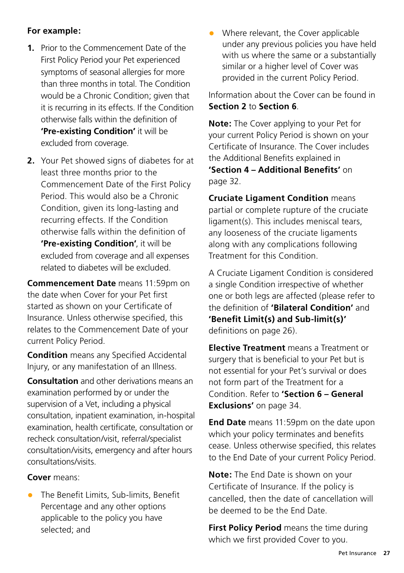#### **For example:**

- **1.** Prior to the Commencement Date of the First Policy Period your Pet experienced symptoms of seasonal allergies for more than three months in total. The Condition would be a Chronic Condition; given that it is recurring in its effects. If the Condition otherwise falls within the definition of **'Pre-existing Condition'** it will be excluded from coverage.
- **2.** Your Pet showed signs of diabetes for at least three months prior to the Commencement Date of the First Policy Period. This would also be a Chronic Condition, given its long-lasting and recurring effects. If the Condition otherwise falls within the definition of **'Pre-existing Condition'**, it will be excluded from coverage and all expenses related to diabetes will be excluded.

**Commencement Date** means 11:59pm on the date when Cover for your Pet first started as shown on your Certificate of Insurance. Unless otherwise specified, this relates to the Commencement Date of your current Policy Period.

**Condition** means any Specified Accidental Injury, or any manifestation of an Illness.

**Consultation** and other derivations means an examination performed by or under the supervision of a Vet, including a physical consultation, inpatient examination, in-hospital examination, health certificate, consultation or recheck consultation/visit, referral/specialist consultation/visits, emergency and after hours consultations/visits.

#### **Cover** means:

**•** The Benefit Limits, Sub-limits, Benefit Percentage and any other options applicable to the policy you have selected; and

**•** Where relevant, the Cover applicable under any previous policies you have held with us where the same or a substantially similar or a higher level of Cover was provided in the current Policy Period.

Information about the Cover can be found in **Section 2** to **Section 6**.

**Note:** The Cover applying to your Pet for your current Policy Period is shown on your Certificate of Insurance. The Cover includes the Additional Benefits explained in **'Section 4 – Additional Benefits'** on page 32.

**Cruciate Ligament Condition** means partial or complete rupture of the cruciate ligament(s). This includes meniscal tears, any looseness of the cruciate ligaments along with any complications following Treatment for this Condition.

A Cruciate Ligament Condition is considered a single Condition irrespective of whether one or both legs are affected (please refer to the definition of **'Bilateral Condition'** and **'Benefit Limit(s) and Sub-limit(s)'** definitions on page 26).

**Elective Treatment** means a Treatment or surgery that is beneficial to your Pet but is not essential for your Pet's survival or does not form part of the Treatment for a Condition. Refer to **'Section 6 – General Exclusions'** on page 34.

**End Date** means 11:59pm on the date upon which your policy terminates and benefits cease. Unless otherwise specified, this relates to the End Date of your current Policy Period.

**Note:** The End Date is shown on your Certificate of Insurance. If the policy is cancelled, then the date of cancellation will be deemed to be the End Date.

**First Policy Period** means the time during which we first provided Cover to you.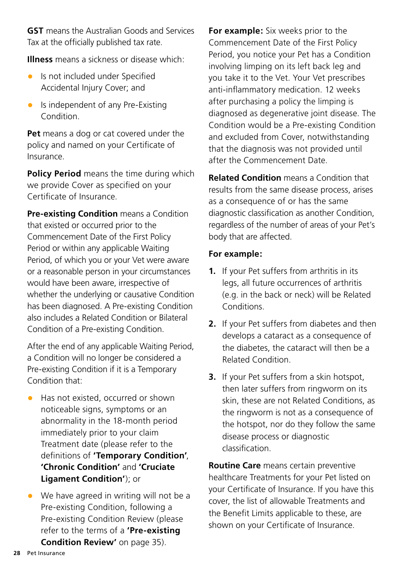**GST** means the Australian Goods and Services Tax at the officially published tax rate.

**Illness** means a sickness or disease which:

- **•** Is not included under Specified Accidental Injury Cover; and
- **•** Is independent of any Pre-Existing Condition.

**Pet** means a dog or cat covered under the policy and named on your Certificate of Insurance.

**Policy Period** means the time during which we provide Cover as specified on your Certificate of Insurance.

**Pre-existing Condition** means a Condition that existed or occurred prior to the Commencement Date of the First Policy Period or within any applicable Waiting Period, of which you or your Vet were aware or a reasonable person in your circumstances would have been aware, irrespective of whether the underlying or causative Condition has been diagnosed. A Pre-existing Condition also includes a Related Condition or Bilateral Condition of a Pre-existing Condition.

After the end of any applicable Waiting Period, a Condition will no longer be considered a Pre-existing Condition if it is a Temporary Condition that:

- **•** Has not existed, occurred or shown noticeable signs, symptoms or an abnormality in the 18-month period immediately prior to your claim Treatment date (please refer to the definitions of **'Temporary Condition'**, **'Chronic Condition'** and **'Cruciate Ligament Condition'**); or
- **•** We have agreed in writing will not be a Pre-existing Condition, following a Pre-existing Condition Review (please refer to the terms of a **'Pre-existing Condition Review'** on page 35).

**For example:** Six weeks prior to the Commencement Date of the First Policy Period, you notice your Pet has a Condition involving limping on its left back leg and you take it to the Vet. Your Vet prescribes anti-inflammatory medication. 12 weeks after purchasing a policy the limping is diagnosed as degenerative joint disease. The Condition would be a Pre-existing Condition and excluded from Cover, notwithstanding that the diagnosis was not provided until after the Commencement Date.

**Related Condition** means a Condition that results from the same disease process, arises as a consequence of or has the same diagnostic classification as another Condition, regardless of the number of areas of your Pet's body that are affected.

#### **For example:**

- **1.** If your Pet suffers from arthritis in its legs, all future occurrences of arthritis (e.g. in the back or neck) will be Related Conditions.
- **2.** If your Pet suffers from diabetes and then develops a cataract as a consequence of the diabetes, the cataract will then be a Related Condition.
- **3.** If your Pet suffers from a skin hotspot, then later suffers from ringworm on its skin, these are not Related Conditions, as the ringworm is not as a consequence of the hotspot, nor do they follow the same disease process or diagnostic classification.

**Routine Care** means certain preventive healthcare Treatments for your Pet listed on your Certificate of Insurance. If you have this cover, the list of allowable Treatments and the Benefit Limits applicable to these, are shown on your Certificate of Insurance.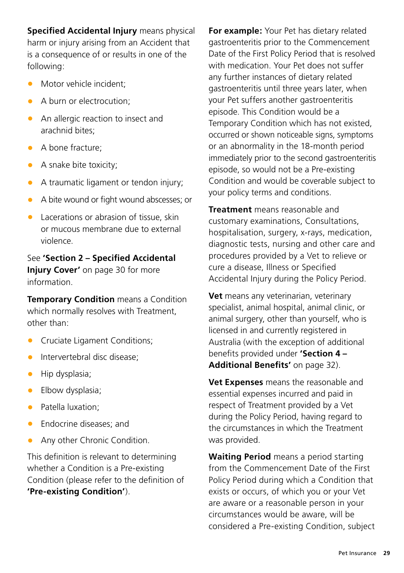**Specified Accidental Injury** means physical harm or injury arising from an Accident that is a consequence of or results in one of the following:

- Motor vehicle incident:
- A burn or electrocution:
- **•** An allergic reaction to insect and arachnid bites;
- **•** A bone fracture;
- **•** A snake bite toxicity;
- **•** A traumatic ligament or tendon injury;
- **•** A bite wound or fight wound abscesses; or
- **•** Lacerations or abrasion of tissue, skin or mucous membrane due to external violence.

See **'Section 2 – Specified Accidental Injury Cover'** on page 30 for more information.

**Temporary Condition** means a Condition which normally resolves with Treatment, other than:

- **•** Cruciate Ligament Conditions;
- **•** Intervertebral disc disease;
- **•** Hip dysplasia;
- **•** Elbow dysplasia;
- **•** Patella luxation;
- **•** Endocrine diseases; and
- Any other Chronic Condition.

This definition is relevant to determining whether a Condition is a Pre-existing Condition (please refer to the definition of **'Pre-existing Condition'**).

**For example:** Your Pet has dietary related gastroenteritis prior to the Commencement Date of the First Policy Period that is resolved with medication. Your Pet does not suffer any further instances of dietary related gastroenteritis until three years later, when your Pet suffers another gastroenteritis episode. This Condition would be a Temporary Condition which has not existed, occurred or shown noticeable signs, symptoms or an abnormality in the 18-month period immediately prior to the second gastroenteritis episode, so would not be a Pre-existing Condition and would be coverable subject to your policy terms and conditions.

**Treatment** means reasonable and customary examinations, Consultations, hospitalisation, surgery, x-rays, medication, diagnostic tests, nursing and other care and procedures provided by a Vet to relieve or cure a disease, Illness or Specified Accidental Injury during the Policy Period.

**Vet** means any veterinarian, veterinary specialist, animal hospital, animal clinic, or animal surgery, other than yourself, who is licensed in and currently registered in Australia (with the exception of additional benefits provided under **'Section 4 – Additional Benefits'** on page 32).

**Vet Expenses** means the reasonable and essential expenses incurred and paid in respect of Treatment provided by a Vet during the Policy Period, having regard to the circumstances in which the Treatment was provided.

**Waiting Period** means a period starting from the Commencement Date of the First Policy Period during which a Condition that exists or occurs, of which you or your Vet are aware or a reasonable person in your circumstances would be aware, will be considered a Pre-existing Condition, subject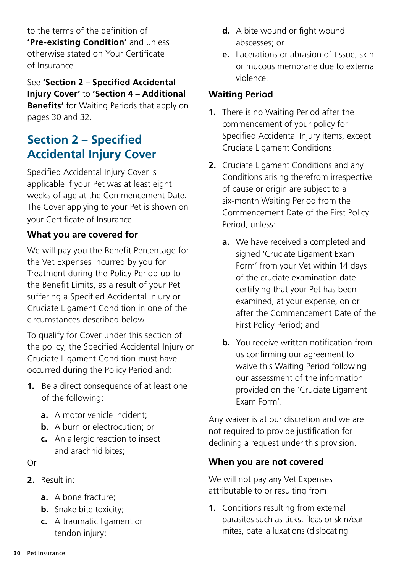to the terms of the definition of **'Pre-existing Condition'** and unless otherwise stated on Your Certificate of Insurance.

See **'Section 2 – Specified Accidental Injury Cover'** to **'Section 4 – Additional Benefits'** for Waiting Periods that apply on pages 30 and 32.

# **Section 2 – Specified Accidental Injury Cover**

Specified Accidental Injury Cover is applicable if your Pet was at least eight weeks of age at the Commencement Date. The Cover applying to your Pet is shown on your Certificate of Insurance.

### **What you are covered for**

We will pay you the Benefit Percentage for the Vet Expenses incurred by you for Treatment during the Policy Period up to the Benefit Limits, as a result of your Pet suffering a Specified Accidental Injury or Cruciate Ligament Condition in one of the circumstances described below.

To qualify for Cover under this section of the policy, the Specified Accidental Injury or Cruciate Ligament Condition must have occurred during the Policy Period and:

- **1.** Be a direct consequence of at least one of the following:
	- **a.** A motor vehicle incident;
	- **b.** A burn or electrocution; or
	- **c.** An allergic reaction to insect and arachnid bites;

Or

- **2.** Result in:
	- **a.** A bone fracture;
	- **b.** Snake bite toxicity:
	- **c.** A traumatic ligament or tendon injury;
- **d.** A bite wound or fight wound abscesses; or
- **e.** Lacerations or abrasion of tissue, skin or mucous membrane due to external violence.

## **Waiting Period**

- **1.** There is no Waiting Period after the commencement of your policy for Specified Accidental Injury items, except Cruciate Ligament Conditions.
- **2.** Cruciate Ligament Conditions and any Conditions arising therefrom irrespective of cause or origin are subject to a six-month Waiting Period from the Commencement Date of the First Policy Period, unless:
	- **a.** We have received a completed and signed 'Cruciate Ligament Exam Form' from your Vet within 14 days of the cruciate examination date certifying that your Pet has been examined, at your expense, on or after the Commencement Date of the First Policy Period; and
	- **b.** You receive written notification from us confirming our agreement to waive this Waiting Period following our assessment of the information provided on the 'Cruciate Ligament Exam Form'.

Any waiver is at our discretion and we are not required to provide justification for declining a request under this provision.

### **When you are not covered**

We will not pay any Vet Expenses attributable to or resulting from:

**1.** Conditions resulting from external parasites such as ticks, fleas or skin/ear mites, patella luxations (dislocating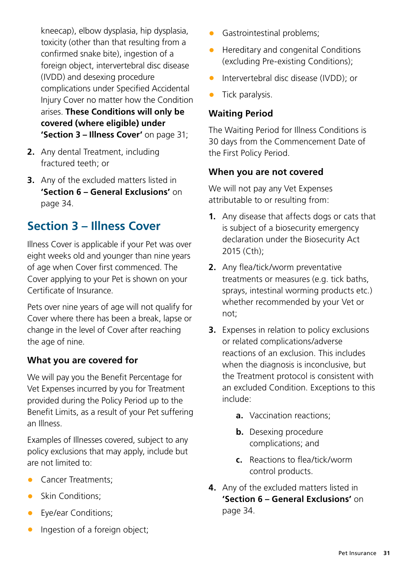kneecap), elbow dysplasia, hip dysplasia, toxicity (other than that resulting from a confirmed snake bite), ingestion of a foreign object, intervertebral disc disease (IVDD) and desexing procedure complications under Specified Accidental Injury Cover no matter how the Condition arises. **These Conditions will only be covered (where eligible) under 'Section 3 – Illness Cover'** on page 31;

- **2.** Any dental Treatment, including fractured teeth; or
- **3.** Any of the excluded matters listed in **'Section 6 – General Exclusions'** on page 34.

# **Section 3 – Illness Cover**

Illness Cover is applicable if your Pet was over eight weeks old and younger than nine years of age when Cover first commenced. The Cover applying to your Pet is shown on your Certificate of Insurance.

Pets over nine years of age will not qualify for Cover where there has been a break, lapse or change in the level of Cover after reaching the age of nine.

### **What you are covered for**

We will pay you the Benefit Percentage for Vet Expenses incurred by you for Treatment provided during the Policy Period up to the Benefit Limits, as a result of your Pet suffering an Illness.

Examples of Illnesses covered, subject to any policy exclusions that may apply, include but are not limited to:

- **•** Cancer Treatments;
- **•** Skin Conditions;
- **•** Eye/ear Conditions;
- **•** Ingestion of a foreign object;
- **•** Gastrointestinal problems;
- **•** Hereditary and congenital Conditions (excluding Pre-existing Conditions);
- **•** Intervertebral disc disease (IVDD); or
- **•** Tick paralysis.

#### **Waiting Period**

The Waiting Period for Illness Conditions is 30 days from the Commencement Date of the First Policy Period.

#### **When you are not covered**

We will not pay any Vet Expenses attributable to or resulting from:

- **1.** Any disease that affects dogs or cats that is subject of a biosecurity emergency declaration under the Biosecurity Act 2015 (Cth);
- **2.** Any flea/tick/worm preventative treatments or measures (e.g. tick baths, sprays, intestinal worming products etc.) whether recommended by your Vet or not;
- **3.** Expenses in relation to policy exclusions or related complications/adverse reactions of an exclusion. This includes when the diagnosis is inconclusive, but the Treatment protocol is consistent with an excluded Condition. Exceptions to this include:
	- **a.** Vaccination reactions;
	- **b.** Desexing procedure complications; and
	- **c.** Reactions to flea/tick/worm control products.
- **4.** Any of the excluded matters listed in **'Section 6 – General Exclusions'** on page 34.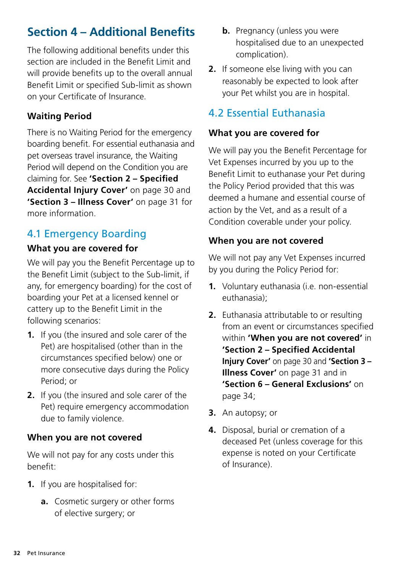# **Section 4 – Additional Benefits**

The following additional benefits under this section are included in the Benefit Limit and will provide benefits up to the overall annual Benefit Limit or specified Sub-limit as shown on your Certificate of Insurance.

## **Waiting Period**

There is no Waiting Period for the emergency boarding benefit. For essential euthanasia and pet overseas travel insurance, the Waiting Period will depend on the Condition you are claiming for. See **'Section 2 – Specified Accidental Injury Cover'** on page 30 and **'Section 3 – Illness Cover'** on page 31 for more information.

# 4.1 Emergency Boarding

## **What you are covered for**

We will pay you the Benefit Percentage up to the Benefit Limit (subject to the Sub-limit, if any, for emergency boarding) for the cost of boarding your Pet at a licensed kennel or cattery up to the Benefit Limit in the following scenarios:

- **1.** If you (the insured and sole carer of the Pet) are hospitalised (other than in the circumstances specified below) one or more consecutive days during the Policy Period; or
- **2.** If you (the insured and sole carer of the Pet) require emergency accommodation due to family violence.

### **When you are not covered**

We will not pay for any costs under this benefit:

- **1.** If you are hospitalised for:
	- **a.** Cosmetic surgery or other forms of elective surgery; or
- **b.** Pregnancy (unless you were hospitalised due to an unexpected complication).
- **2.** If someone else living with you can reasonably be expected to look after your Pet whilst you are in hospital.

# 4.2 Essential Euthanasia

### **What you are covered for**

We will pay you the Benefit Percentage for Vet Expenses incurred by you up to the Benefit Limit to euthanase your Pet during the Policy Period provided that this was deemed a humane and essential course of action by the Vet, and as a result of a Condition coverable under your policy.

## **When you are not covered**

We will not pay any Vet Expenses incurred by you during the Policy Period for:

- **1.** Voluntary euthanasia (i.e. non-essential euthanasia);
- **2.** Euthanasia attributable to or resulting from an event or circumstances specified within **'When you are not covered'** in **'Section 2 – Specified Accidental Injury Cover'** on page 30 and **'Section 3 – Illness Cover'** on page 31 and in **'Section 6 – General Exclusions'** on page 34;
- **3.** An autopsy; or
- **4.** Disposal, burial or cremation of a deceased Pet (unless coverage for this expense is noted on your Certificate of Insurance).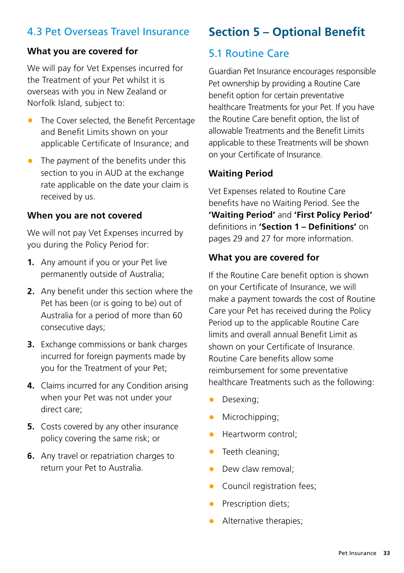# 4.3 Pet Overseas Travel Insurance

#### **What you are covered for**

We will pay for Vet Expenses incurred for the Treatment of your Pet whilst it is overseas with you in New Zealand or Norfolk Island, subject to:

- **•** The Cover selected, the Benefit Percentage and Benefit Limits shown on your applicable Certificate of Insurance; and
- The payment of the benefits under this section to you in AUD at the exchange rate applicable on the date your claim is received by us.

#### **When you are not covered**

We will not pay Vet Expenses incurred by you during the Policy Period for:

- **1.** Any amount if you or your Pet live permanently outside of Australia;
- **2.** Any benefit under this section where the Pet has been (or is going to be) out of Australia for a period of more than 60 consecutive days;
- **3.** Exchange commissions or bank charges incurred for foreign payments made by you for the Treatment of your Pet;
- **4.** Claims incurred for any Condition arising when your Pet was not under your direct care;
- **5.** Costs covered by any other insurance policy covering the same risk; or
- **6.** Any travel or repatriation charges to return your Pet to Australia.

# **Section 5 – Optional Benefit**

## 5.1 Routine Care

Guardian Pet Insurance encourages responsible Pet ownership by providing a Routine Care benefit option for certain preventative healthcare Treatments for your Pet. If you have the Routine Care benefit option, the list of allowable Treatments and the Benefit Limits applicable to these Treatments will be shown on your Certificate of Insurance.

#### **Waiting Period**

Vet Expenses related to Routine Care benefits have no Waiting Period. See the **'Waiting Period'** and **'First Policy Period'** definitions in **'Section 1 – Definitions'** on pages 29 and 27 for more information.

#### **What you are covered for**

If the Routine Care benefit option is shown on your Certificate of Insurance, we will make a payment towards the cost of Routine Care your Pet has received during the Policy Period up to the applicable Routine Care limits and overall annual Benefit Limit as shown on your Certificate of Insurance. Routine Care benefits allow some reimbursement for some preventative healthcare Treatments such as the following:

- **•** Desexing;
- **•** Microchipping;
- **•** Heartworm control;
- **•** Teeth cleaning;
- **•** Dew claw removal;
- Council registration fees;
- **•** Prescription diets;
- Alternative therapies;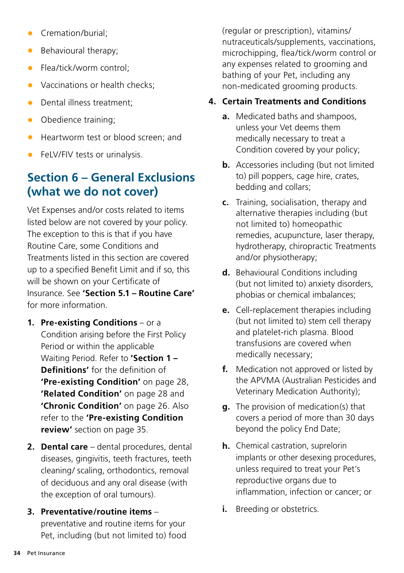- **•** Cremation/burial;
- **•** Behavioural therapy;
- **•** Flea/tick/worm control;
- Vaccinations or health checks:
- **•** Dental illness treatment;
- **•** Obedience training;
- **•** Heartworm test or blood screen; and
- **•** FeLV/FIV tests or urinalysis.

# **Section 6 – General Exclusions (what we do not cover)**

Vet Expenses and/or costs related to items listed below are not covered by your policy. The exception to this is that if you have Routine Care, some Conditions and Treatments listed in this section are covered up to a specified Benefit Limit and if so, this will be shown on your Certificate of Insurance. See **'Section 5.1 – Routine Care'** for more information.

- **1. Pre-existing Conditions** or a Condition arising before the First Policy Period or within the applicable Waiting Period. Refer to **'Section 1 – Definitions'** for the definition of **'Pre-existing Condition'** on page 28, **'Related Condition'** on page 28 and **'Chronic Condition'** on page 26. Also refer to the **'Pre-existing Condition review'** section on page 35.
- **2. Dental care** dental procedures, dental diseases, gingivitis, teeth fractures, teeth cleaning/ scaling, orthodontics, removal of deciduous and any oral disease (with the exception of oral tumours).

### **3. Preventative/routine items** –

preventative and routine items for your Pet, including (but not limited to) food (regular or prescription), vitamins/ nutraceuticals/supplements, vaccinations, microchipping, flea/tick/worm control or any expenses related to grooming and bathing of your Pet, including any non-medicated grooming products.

## **4. Certain Treatments and Conditions**

- **a.** Medicated baths and shampoos, unless your Vet deems them medically necessary to treat a Condition covered by your policy;
- **b.** Accessories including (but not limited to) pill poppers, cage hire, crates, bedding and collars;
- **c.** Training, socialisation, therapy and alternative therapies including (but not limited to) homeopathic remedies, acupuncture, laser therapy, hydrotherapy, chiropractic Treatments and/or physiotherapy;
- **d.** Behavioural Conditions including (but not limited to) anxiety disorders, phobias or chemical imbalances;
- **e.** Cell-replacement therapies including (but not limited to) stem cell therapy and platelet-rich plasma. Blood transfusions are covered when medically necessary;
- **f.** Medication not approved or listed by the APVMA (Australian Pesticides and Veterinary Medication Authority);
- **g.** The provision of medication(s) that covers a period of more than 30 days beyond the policy End Date;
- **h.** Chemical castration, suprelorin implants or other desexing procedures, unless required to treat your Pet's reproductive organs due to inflammation, infection or cancer; or
- **i.** Breeding or obstetrics.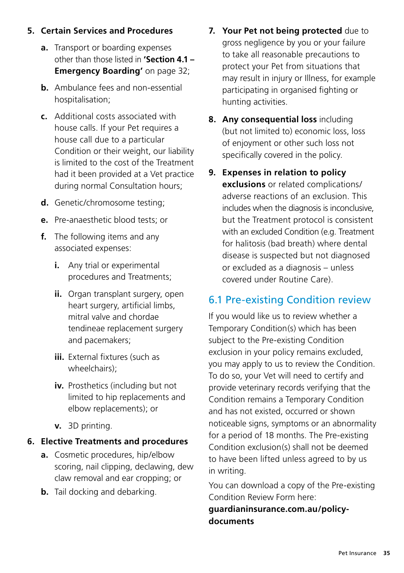#### **5. Certain Services and Procedures**

- **a.** Transport or boarding expenses other than those listed in **'Section 4.1 – Emergency Boarding'** on page 32;
- **b.** Ambulance fees and non-essential hospitalisation;
- **c.** Additional costs associated with house calls. If your Pet requires a house call due to a particular Condition or their weight, our liability is limited to the cost of the Treatment had it been provided at a Vet practice during normal Consultation hours;
- **d.** Genetic/chromosome testing;
- **e.** Pre-anaesthetic blood tests; or
- **f.** The following items and any associated expenses:
	- **i.** Any trial or experimental procedures and Treatments;
	- **ii.** Organ transplant surgery, open heart surgery, artificial limbs. mitral valve and chordae tendineae replacement surgery and pacemakers;
	- **iii.** External fixtures (such as wheelchairs);
	- **iv.** Prosthetics (including but not limited to hip replacements and elbow replacements); or
	- **v.** 3D printing.

### **6. Elective Treatments and procedures**

- **a.** Cosmetic procedures, hip/elbow scoring, nail clipping, declawing, dew claw removal and ear cropping; or
- **b.** Tail docking and debarking.
- **7. Your Pet not being protected** due to gross negligence by you or your failure to take all reasonable precautions to protect your Pet from situations that may result in injury or Illness, for example participating in organised fighting or hunting activities.
- **8. Any consequential loss** including (but not limited to) economic loss, loss of enjoyment or other such loss not specifically covered in the policy.
- **9. Expenses in relation to policy exclusions** or related complications/ adverse reactions of an exclusion. This includes when the diagnosis is inconclusive, but the Treatment protocol is consistent with an excluded Condition (e.g. Treatment for halitosis (bad breath) where dental disease is suspected but not diagnosed or excluded as a diagnosis – unless covered under Routine Care).

# 6.1 Pre-existing Condition review

If you would like us to review whether a Temporary Condition(s) which has been subject to the Pre-existing Condition exclusion in your policy remains excluded, you may apply to us to review the Condition. To do so, your Vet will need to certify and provide veterinary records verifying that the Condition remains a Temporary Condition and has not existed, occurred or shown noticeable signs, symptoms or an abnormality for a period of 18 months. The Pre-existing Condition exclusion(s) shall not be deemed to have been lifted unless agreed to by us in writing.

You can download a copy of the Pre-existing Condition Review Form here:

#### **guardianinsurance.com.au/policydocuments**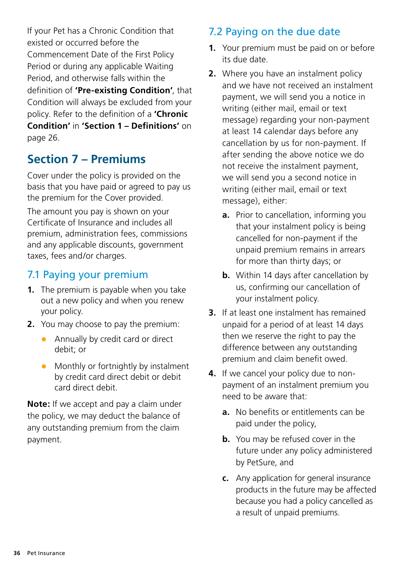If your Pet has a Chronic Condition that existed or occurred before the Commencement Date of the First Policy Period or during any applicable Waiting Period, and otherwise falls within the definition of **'Pre-existing Condition'**, that Condition will always be excluded from your policy. Refer to the definition of a **'Chronic Condition'** in **'Section 1 – Definitions'** on page 26.

# **Section 7 – Premiums**

Cover under the policy is provided on the basis that you have paid or agreed to pay us the premium for the Cover provided.

The amount you pay is shown on your Certificate of Insurance and includes all premium, administration fees, commissions and any applicable discounts, government taxes, fees and/or charges.

# 7.1 Paying your premium

- **1.** The premium is payable when you take out a new policy and when you renew your policy.
- **2.** You may choose to pay the premium:
	- **•** Annually by credit card or direct debit; or
	- **•** Monthly or fortnightly by instalment by credit card direct debit or debit card direct debit.

**Note:** If we accept and pay a claim under the policy, we may deduct the balance of any outstanding premium from the claim payment.

# 7.2 Paying on the due date

- **1.** Your premium must be paid on or before its due date.
- **2.** Where you have an instalment policy and we have not received an instalment payment, we will send you a notice in writing (either mail, email or text message) regarding your non-payment at least 14 calendar days before any cancellation by us for non-payment. If after sending the above notice we do not receive the instalment payment we will send you a second notice in writing (either mail, email or text message), either:
	- **a.** Prior to cancellation, informing you that your instalment policy is being cancelled for non-payment if the unpaid premium remains in arrears for more than thirty days; or
	- **b.** Within 14 days after cancellation by us, confirming our cancellation of your instalment policy.
- **3.** If at least one instalment has remained unpaid for a period of at least 14 days then we reserve the right to pay the difference between any outstanding premium and claim benefit owed.
- **4.** If we cancel your policy due to nonpayment of an instalment premium you need to be aware that:
	- **a.** No benefits or entitlements can be paid under the policy,
	- **b.** You may be refused cover in the future under any policy administered by PetSure, and
	- **c.** Any application for general insurance products in the future may be affected because you had a policy cancelled as a result of unpaid premiums.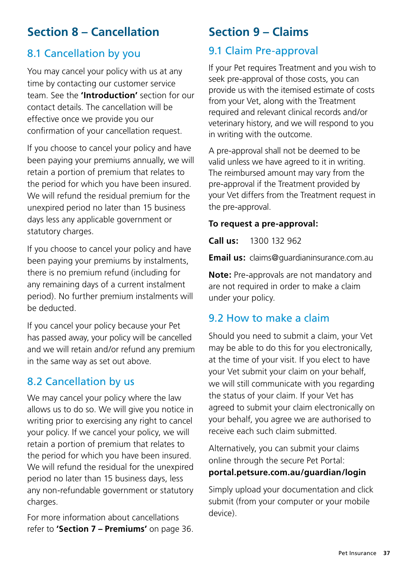# **Section 8 – Cancellation**

# 8.1 Cancellation by you

You may cancel your policy with us at any time by contacting our customer service team. See the **'Introduction'** section for our contact details. The cancellation will be effective once we provide you our confirmation of your cancellation request.

If you choose to cancel your policy and have been paying your premiums annually, we will retain a portion of premium that relates to the period for which you have been insured. We will refund the residual premium for the unexpired period no later than 15 business days less any applicable government or statutory charges.

If you choose to cancel your policy and have been paying your premiums by instalments, there is no premium refund (including for any remaining days of a current instalment period). No further premium instalments will be deducted.

If you cancel your policy because your Pet has passed away, your policy will be cancelled and we will retain and/or refund any premium in the same way as set out above.

# 8.2 Cancellation by us

We may cancel your policy where the law allows us to do so. We will give you notice in writing prior to exercising any right to cancel your policy. If we cancel your policy, we will retain a portion of premium that relates to the period for which you have been insured. We will refund the residual for the unexpired period no later than 15 business days, less any non-refundable government or statutory charges.

For more information about cancellations refer to **'Section 7 – Premiums'** on page 36.

# **Section 9 – Claims**

## 9.1 Claim Pre-approval

If your Pet requires Treatment and you wish to seek pre-approval of those costs, you can provide us with the itemised estimate of costs from your Vet, along with the Treatment required and relevant clinical records and/or veterinary history, and we will respond to you in writing with the outcome.

A pre-approval shall not be deemed to be valid unless we have agreed to it in writing. The reimbursed amount may vary from the pre-approval if the Treatment provided by your Vet differs from the Treatment request in the pre-approval.

#### **To request a pre-approval:**

**Call us:** 1300 132 962

**Email us:** claims@guardianinsurance.com.au

**Note:** Pre-approvals are not mandatory and are not required in order to make a claim under your policy.

## 9.2 How to make a claim

Should you need to submit a claim, your Vet may be able to do this for you electronically, at the time of your visit. If you elect to have your Vet submit your claim on your behalf, we will still communicate with you regarding the status of your claim. If your Vet has agreed to submit your claim electronically on your behalf, you agree we are authorised to receive each such claim submitted.

Alternatively, you can submit your claims online through the secure Pet Portal:

#### **portal.petsure.com.au/guardian/login**

Simply upload your documentation and click submit (from your computer or your mobile device).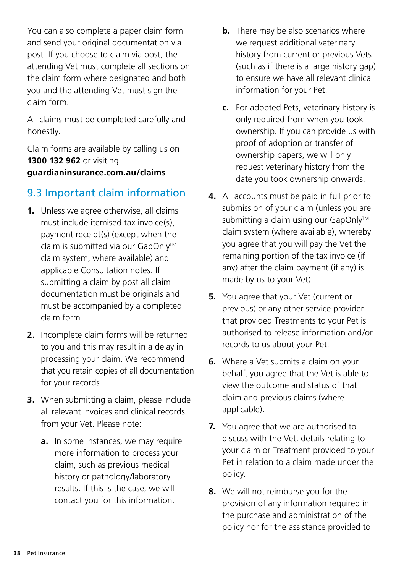You can also complete a paper claim form and send your original documentation via post. If you choose to claim via post, the attending Vet must complete all sections on the claim form where designated and both you and the attending Vet must sign the claim form.

All claims must be completed carefully and honestly.

Claim forms are available by calling us on **1300 132 962** or visiting **guardianinsurance.com.au/claims**

# 9.3 Important claim information

- **1.** Unless we agree otherwise, all claims must include itemised tax invoice(s), payment receipt(s) (except when the claim is submitted via our GapOnly™ claim system, where available) and applicable Consultation notes. If submitting a claim by post all claim documentation must be originals and must be accompanied by a completed claim form.
- **2.** Incomplete claim forms will be returned to you and this may result in a delay in processing your claim. We recommend that you retain copies of all documentation for your records.
- **3.** When submitting a claim, please include all relevant invoices and clinical records from your Vet. Please note:
	- **a.** In some instances, we may require more information to process your claim, such as previous medical history or pathology/laboratory results. If this is the case, we will contact you for this information.
- **b.** There may be also scenarios where we request additional veterinary history from current or previous Vets (such as if there is a large history gap) to ensure we have all relevant clinical information for your Pet.
- **c.** For adopted Pets, veterinary history is only required from when you took ownership. If you can provide us with proof of adoption or transfer of ownership papers, we will only request veterinary history from the date you took ownership onwards.
- **4.** All accounts must be paid in full prior to submission of your claim (unless you are submitting a claim using our GapOnly™ claim system (where available), whereby you agree that you will pay the Vet the remaining portion of the tax invoice (if any) after the claim payment (if any) is made by us to your Vet).
- **5.** You agree that your Vet (current or previous) or any other service provider that provided Treatments to your Pet is authorised to release information and/or records to us about your Pet.
- **6.** Where a Vet submits a claim on your behalf, you agree that the Vet is able to view the outcome and status of that claim and previous claims (where applicable).
- **7.** You agree that we are authorised to discuss with the Vet, details relating to your claim or Treatment provided to your Pet in relation to a claim made under the policy.
- **8.** We will not reimburse you for the provision of any information required in the purchase and administration of the policy nor for the assistance provided to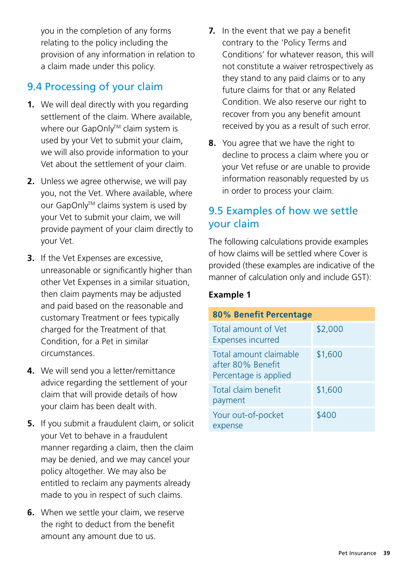you in the completion of any forms relating to the policy including the provision of any information in relation to a claim made under this policy.

## 9.4 Processing of your claim

- **1.** We will deal directly with you regarding settlement of the claim. Where available, where our GapOnly™ claim system is used by your Vet to submit your claim, we will also provide information to your Vet about the settlement of your claim.
- **2.** Unless we agree otherwise, we will pay you, not the Vet. Where available, where our GapOnly™ claims system is used by your Vet to submit your claim, we will provide payment of your claim directly to your Vet.
- **3.** If the Vet Expenses are excessive, unreasonable or significantly higher than other Vet Expenses in a similar situation, then claim payments may be adjusted and paid based on the reasonable and customary Treatment or fees typically charged for the Treatment of that Condition, for a Pet in similar circumstances.
- **4.** We will send you a letter/remittance advice regarding the settlement of your claim that will provide details of how your claim has been dealt with.
- **5.** If you submit a fraudulent claim, or solicit your Vet to behave in a fraudulent manner regarding a claim, then the claim may be denied, and we may cancel your policy altogether. We may also be entitled to reclaim any payments already made to you in respect of such claims.
- **6.** When we settle your claim, we reserve the right to deduct from the benefit amount any amount due to us.
- **7.** In the event that we pay a benefit contrary to the 'Policy Terms and Conditions' for whatever reason, this will not constitute a waiver retrospectively as they stand to any paid claims or to any future claims for that or any Related Condition. We also reserve our right to recover from you any benefit amount received by you as a result of such error.
- **8.** You agree that we have the right to decline to process a claim where you or your Vet refuse or are unable to provide information reasonably requested by us in order to process your claim.

## 9.5 Examples of how we settle your claim

The following calculations provide examples of how claims will be settled where Cover is provided (these examples are indicative of the manner of calculation only and include GST):

#### **Example 1**

| 80% Benefit Percentage                                               |         |  |
|----------------------------------------------------------------------|---------|--|
| Total amount of Vet<br>Expenses incurred                             | \$2,000 |  |
| Total amount claimable<br>after 80% Benefit<br>Percentage is applied | \$1,600 |  |
| Total claim benefit<br>payment                                       | \$1,600 |  |
| Your out-of-pocket<br>expense                                        | \$400   |  |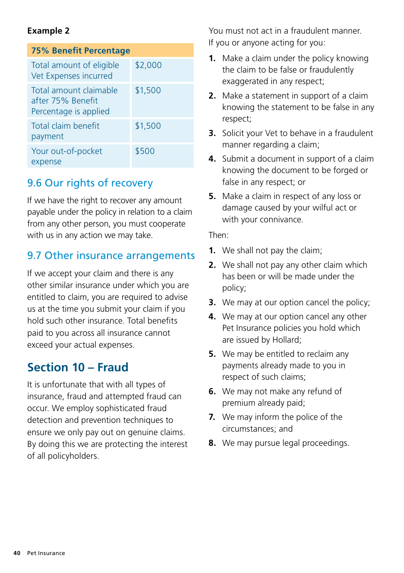#### **Example 2**

| <b>75% Benefit Percentage</b>                                        |         |  |
|----------------------------------------------------------------------|---------|--|
| Total amount of eligible<br>Vet Expenses incurred                    | \$2,000 |  |
| Total amount claimable<br>after 75% Benefit<br>Percentage is applied | \$1,500 |  |
| Total claim benefit<br>payment                                       | \$1,500 |  |
| Your out-of-pocket<br>expense                                        | \$500   |  |

# 9.6 Our rights of recovery

If we have the right to recover any amount payable under the policy in relation to a claim from any other person, you must cooperate with us in any action we may take.

## 9.7 Other insurance arrangements

If we accept your claim and there is any other similar insurance under which you are entitled to claim, you are required to advise us at the time you submit your claim if you hold such other insurance. Total benefits paid to you across all insurance cannot exceed your actual expenses.

# **Section 10 – Fraud**

It is unfortunate that with all types of insurance, fraud and attempted fraud can occur. We employ sophisticated fraud detection and prevention techniques to ensure we only pay out on genuine claims. By doing this we are protecting the interest of all policyholders.

You must not act in a fraudulent manner. If you or anyone acting for you:

- **1.** Make a claim under the policy knowing the claim to be false or fraudulently exaggerated in any respect;
- **2.** Make a statement in support of a claim knowing the statement to be false in any respect;
- **3.** Solicit your Vet to behave in a fraudulent manner regarding a claim;
- **4.** Submit a document in support of a claim knowing the document to be forged or false in any respect; or
- **5.** Make a claim in respect of any loss or damage caused by your wilful act or with your connivance.

Then:

- **1.** We shall not pay the claim;
- **2.** We shall not pay any other claim which has been or will be made under the policy;
- **3.** We may at our option cancel the policy;
- **4.** We may at our option cancel any other Pet Insurance policies you hold which are issued by Hollard;
- **5.** We may be entitled to reclaim any payments already made to you in respect of such claims;
- **6.** We may not make any refund of premium already paid;
- **7.** We may inform the police of the circumstances; and
- **8.** We may pursue legal proceedings.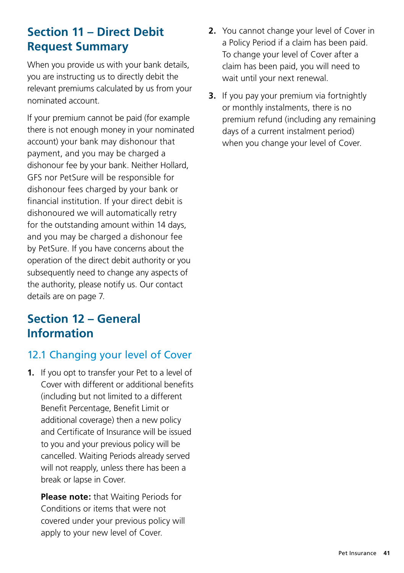# **Section 11 – Direct Debit Request Summary**

When you provide us with your bank details, you are instructing us to directly debit the relevant premiums calculated by us from your nominated account.

If your premium cannot be paid (for example there is not enough money in your nominated account) your bank may dishonour that payment, and you may be charged a dishonour fee by your bank. Neither Hollard, GFS nor PetSure will be responsible for dishonour fees charged by your bank or financial institution. If your direct debit is dishonoured we will automatically retry for the outstanding amount within 14 days, and you may be charged a dishonour fee by PetSure. If you have concerns about the operation of the direct debit authority or you subsequently need to change any aspects of the authority, please notify us. Our contact details are on page 7.

# **Section 12 – General Information**

# 12.1 Changing your level of Cover

**1.** If you opt to transfer your Pet to a level of Cover with different or additional benefits (including but not limited to a different Benefit Percentage, Benefit Limit or additional coverage) then a new policy and Certificate of Insurance will be issued to you and your previous policy will be cancelled. Waiting Periods already served will not reapply, unless there has been a break or lapse in Cover.

**Please note:** that Waiting Periods for Conditions or items that were not covered under your previous policy will apply to your new level of Cover.

- **2.** You cannot change your level of Cover in a Policy Period if a claim has been paid. To change your level of Cover after a claim has been paid, you will need to wait until your next renewal.
- **3.** If you pay your premium via fortnightly or monthly instalments, there is no premium refund (including any remaining days of a current instalment period) when you change your level of Cover.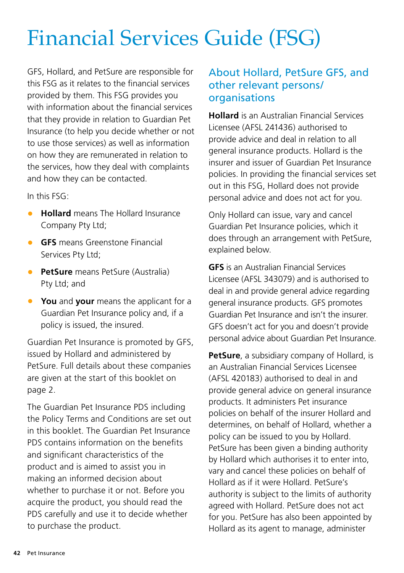# Financial Services Guide (FSG)

GFS, Hollard, and PetSure are responsible for this FSG as it relates to the financial services provided by them. This FSG provides you with information about the financial services that they provide in relation to Guardian Pet Insurance (to help you decide whether or not to use those services) as well as information on how they are remunerated in relation to the services, how they deal with complaints and how they can be contacted.

In this FSG:

- **• Hollard** means The Hollard Insurance Company Pty Ltd:
- **• GFS** means Greenstone Financial Services Pty Ltd;
- **• PetSure** means PetSure (Australia) Pty Ltd; and
- **• You** and **your** means the applicant for a Guardian Pet Insurance policy and, if a policy is issued, the insured.

Guardian Pet Insurance is promoted by GFS, issued by Hollard and administered by PetSure. Full details about these companies are given at the start of this booklet on page 2.

The Guardian Pet Insurance PDS including the Policy Terms and Conditions are set out in this booklet. The Guardian Pet Insurance PDS contains information on the benefits and significant characteristics of the product and is aimed to assist you in making an informed decision about whether to purchase it or not. Before you acquire the product, you should read the PDS carefully and use it to decide whether to purchase the product.

## About Hollard, PetSure GFS, and other relevant persons/ organisations

**Hollard** is an Australian Financial Services Licensee (AFSL 241436) authorised to provide advice and deal in relation to all general insurance products. Hollard is the insurer and issuer of Guardian Pet Insurance policies. In providing the financial services set out in this FSG, Hollard does not provide personal advice and does not act for you.

Only Hollard can issue, vary and cancel Guardian Pet Insurance policies, which it does through an arrangement with PetSure, explained below.

**GFS** is an Australian Financial Services Licensee (AFSL 343079) and is authorised to deal in and provide general advice regarding general insurance products. GFS promotes Guardian Pet Insurance and isn't the insurer. GFS doesn't act for you and doesn't provide personal advice about Guardian Pet Insurance.

**PetSure**, a subsidiary company of Hollard, is an Australian Financial Services Licensee (AFSL 420183) authorised to deal in and provide general advice on general insurance products. It administers Pet insurance policies on behalf of the insurer Hollard and determines, on behalf of Hollard, whether a policy can be issued to you by Hollard. PetSure has been given a binding authority by Hollard which authorises it to enter into, vary and cancel these policies on behalf of Hollard as if it were Hollard. PetSure's authority is subject to the limits of authority agreed with Hollard. PetSure does not act for you. PetSure has also been appointed by Hollard as its agent to manage, administer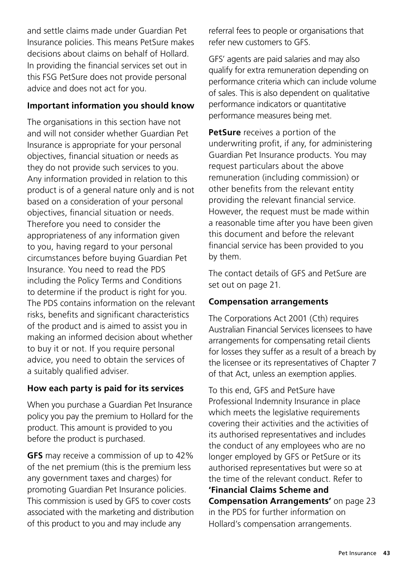and settle claims made under Guardian Pet Insurance policies. This means PetSure makes decisions about claims on behalf of Hollard. In providing the financial services set out in this FSG PetSure does not provide personal advice and does not act for you.

#### **Important information you should know**

The organisations in this section have not and will not consider whether Guardian Pet Insurance is appropriate for your personal objectives, financial situation or needs as they do not provide such services to you. Any information provided in relation to this product is of a general nature only and is not based on a consideration of your personal objectives, financial situation or needs. Therefore you need to consider the appropriateness of any information given to you, having regard to your personal circumstances before buying Guardian Pet Insurance. You need to read the PDS including the Policy Terms and Conditions to determine if the product is right for you. The PDS contains information on the relevant risks, benefits and significant characteristics of the product and is aimed to assist you in making an informed decision about whether to buy it or not. If you require personal advice, you need to obtain the services of a suitably qualified adviser.

#### **How each party is paid for its services**

When you purchase a Guardian Pet Insurance policy you pay the premium to Hollard for the product. This amount is provided to you before the product is purchased.

**GFS** may receive a commission of up to 42% of the net premium (this is the premium less any government taxes and charges) for promoting Guardian Pet Insurance policies. This commission is used by GFS to cover costs associated with the marketing and distribution of this product to you and may include any

referral fees to people or organisations that refer new customers to GFS.

GFS' agents are paid salaries and may also qualify for extra remuneration depending on performance criteria which can include volume of sales. This is also dependent on qualitative performance indicators or quantitative performance measures being met.

**PetSure** receives a portion of the underwriting profit, if any, for administering Guardian Pet Insurance products. You may request particulars about the above remuneration (including commission) or other benefits from the relevant entity providing the relevant financial service. However, the request must be made within a reasonable time after you have been given this document and before the relevant financial service has been provided to you by them.

The contact details of GFS and PetSure are set out on page 21.

#### **Compensation arrangements**

The Corporations Act 2001 (Cth) requires Australian Financial Services licensees to have arrangements for compensating retail clients for losses they suffer as a result of a breach by the licensee or its representatives of Chapter 7 of that Act, unless an exemption applies.

To this end, GFS and PetSure have Professional Indemnity Insurance in place which meets the legislative requirements covering their activities and the activities of its authorised representatives and includes the conduct of any employees who are no longer employed by GFS or PetSure or its authorised representatives but were so at the time of the relevant conduct. Refer to **'Financial Claims Scheme and Compensation Arrangements'** on page 23 in the PDS for further information on Hollard's compensation arrangements.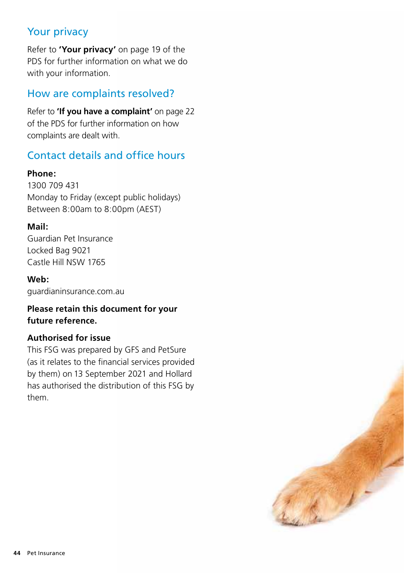# Your privacy

Refer to **'Your privacy'** on page 19 of the PDS for further information on what we do with your information.

## How are complaints resolved?

Refer to **'If you have a complaint'** on page 22 of the PDS for further information on how complaints are dealt with.

# Contact details and office hours

#### **Phone:**

1300 709 431 Monday to Friday (except public holidays) Between 8:00am to 8:00pm (AEST)

#### **Mail:**

Guardian Pet Insurance Locked Bag 9021 Castle Hill NSW 1765

#### **Web:**

guardianinsurance.com.au

### **Please retain this document for your future reference.**

#### **Authorised for issue**

This FSG was prepared by GFS and PetSure (as it relates to the financial services provided by them) on 13 September 2021 and Hollard has authorised the distribution of this FSG by them.

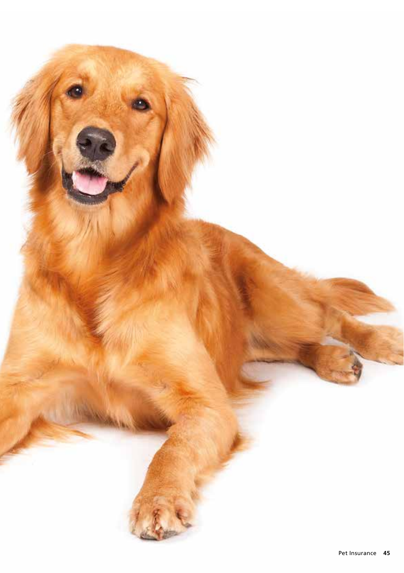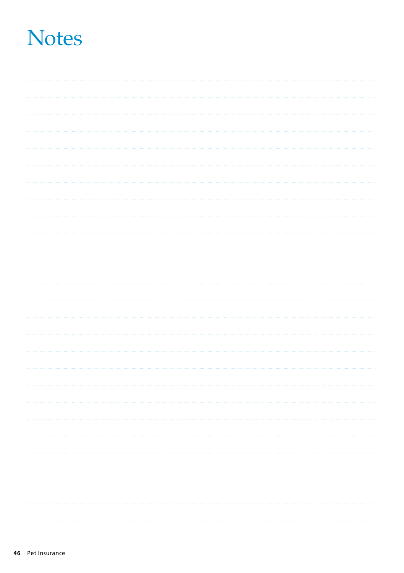# **Notes**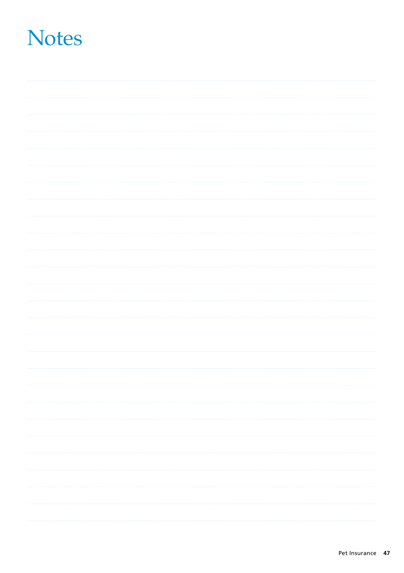# **Notes**